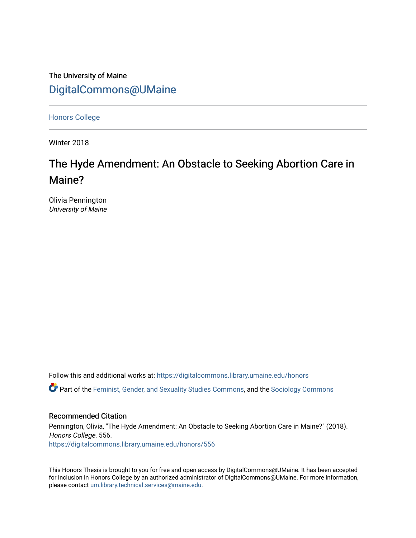# The University of Maine [DigitalCommons@UMaine](https://digitalcommons.library.umaine.edu/)

[Honors College](https://digitalcommons.library.umaine.edu/honors)

Winter 2018

# The Hyde Amendment: An Obstacle to Seeking Abortion Care in Maine?

Olivia Pennington University of Maine

Follow this and additional works at: [https://digitalcommons.library.umaine.edu/honors](https://digitalcommons.library.umaine.edu/honors?utm_source=digitalcommons.library.umaine.edu%2Fhonors%2F556&utm_medium=PDF&utm_campaign=PDFCoverPages) 

**C** Part of the [Feminist, Gender, and Sexuality Studies Commons](http://network.bepress.com/hgg/discipline/559?utm_source=digitalcommons.library.umaine.edu%2Fhonors%2F556&utm_medium=PDF&utm_campaign=PDFCoverPages), and the [Sociology Commons](http://network.bepress.com/hgg/discipline/416?utm_source=digitalcommons.library.umaine.edu%2Fhonors%2F556&utm_medium=PDF&utm_campaign=PDFCoverPages)

#### Recommended Citation

Pennington, Olivia, "The Hyde Amendment: An Obstacle to Seeking Abortion Care in Maine?" (2018). Honors College. 556. [https://digitalcommons.library.umaine.edu/honors/556](https://digitalcommons.library.umaine.edu/honors/556?utm_source=digitalcommons.library.umaine.edu%2Fhonors%2F556&utm_medium=PDF&utm_campaign=PDFCoverPages) 

This Honors Thesis is brought to you for free and open access by DigitalCommons@UMaine. It has been accepted for inclusion in Honors College by an authorized administrator of DigitalCommons@UMaine. For more information, please contact [um.library.technical.services@maine.edu.](mailto:um.library.technical.services@maine.edu)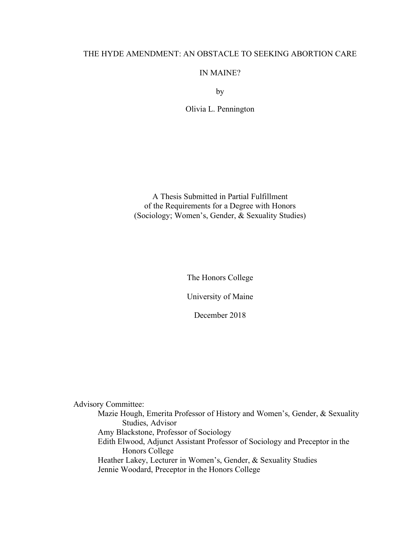### THE HYDE AMENDMENT: AN OBSTACLE TO SEEKING ABORTION CARE

### IN MAINE?

by

Olivia L. Pennington

A Thesis Submitted in Partial Fulfillment of the Requirements for a Degree with Honors (Sociology; Women's, Gender, & Sexuality Studies)

The Honors College

University of Maine

December 2018

Advisory Committee:

Mazie Hough, Emerita Professor of History and Women's, Gender, & Sexuality Studies, Advisor Amy Blackstone, Professor of Sociology Edith Elwood, Adjunct Assistant Professor of Sociology and Preceptor in the Honors College Heather Lakey, Lecturer in Women's, Gender, & Sexuality Studies Jennie Woodard, Preceptor in the Honors College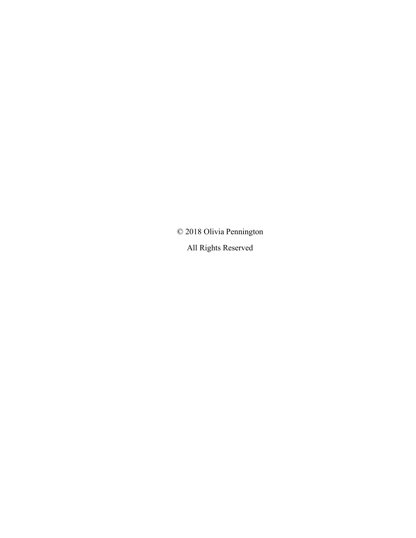© 2018 Olivia Pennington

All Rights Reserved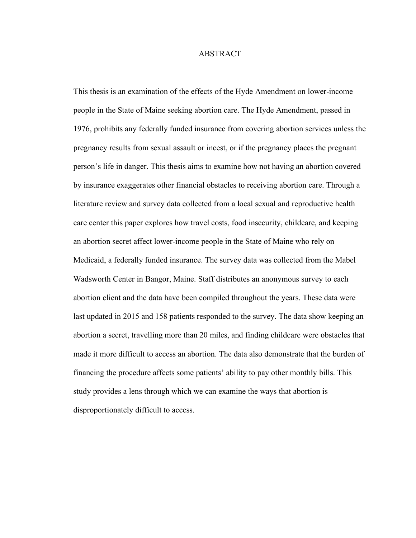#### ABSTRACT

This thesis is an examination of the effects of the Hyde Amendment on lower-income people in the State of Maine seeking abortion care. The Hyde Amendment, passed in 1976, prohibits any federally funded insurance from covering abortion services unless the pregnancy results from sexual assault or incest, or if the pregnancy places the pregnant person's life in danger. This thesis aims to examine how not having an abortion covered by insurance exaggerates other financial obstacles to receiving abortion care. Through a literature review and survey data collected from a local sexual and reproductive health care center this paper explores how travel costs, food insecurity, childcare, and keeping an abortion secret affect lower-income people in the State of Maine who rely on Medicaid, a federally funded insurance. The survey data was collected from the Mabel Wadsworth Center in Bangor, Maine. Staff distributes an anonymous survey to each abortion client and the data have been compiled throughout the years. These data were last updated in 2015 and 158 patients responded to the survey. The data show keeping an abortion a secret, travelling more than 20 miles, and finding childcare were obstacles that made it more difficult to access an abortion. The data also demonstrate that the burden of financing the procedure affects some patients' ability to pay other monthly bills. This study provides a lens through which we can examine the ways that abortion is disproportionately difficult to access.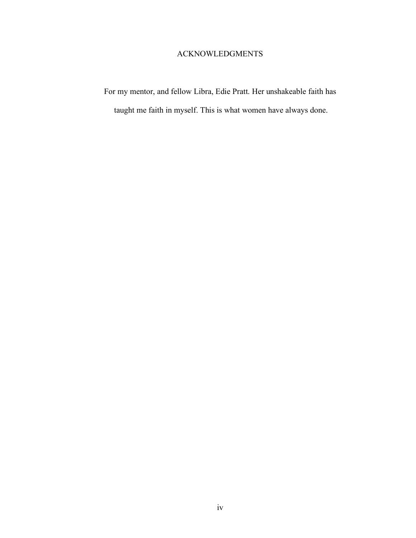# ACKNOWLEDGMENTS

For my mentor, and fellow Libra, Edie Pratt. Her unshakeable faith has taught me faith in myself. This is what women have always done.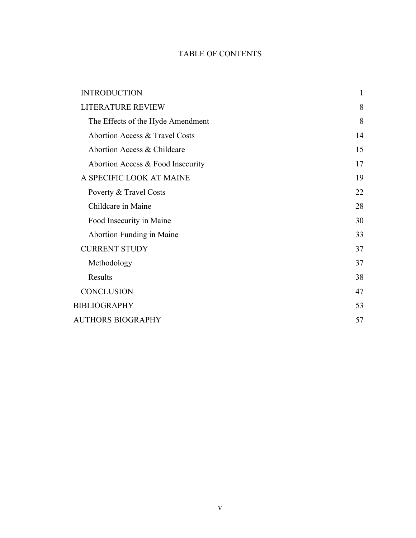# TABLE OF CONTENTS

| <b>INTRODUCTION</b>               | $\mathbf{1}$ |
|-----------------------------------|--------------|
| <b>LITERATURE REVIEW</b>          | 8            |
| The Effects of the Hyde Amendment | 8            |
| Abortion Access & Travel Costs    | 14           |
| Abortion Access & Childcare       | 15           |
| Abortion Access & Food Insecurity | 17           |
| A SPECIFIC LOOK AT MAINE          | 19           |
| Poverty & Travel Costs            | 22           |
| Childcare in Maine                | 28           |
| Food Insecurity in Maine          | 30           |
| Abortion Funding in Maine         | 33           |
| <b>CURRENT STUDY</b>              | 37           |
| Methodology                       | 37           |
| Results                           | 38           |
| <b>CONCLUSION</b>                 | 47           |
| <b>BIBLIOGRAPHY</b>               | 53           |
| <b>AUTHORS BIOGRAPHY</b>          | 57           |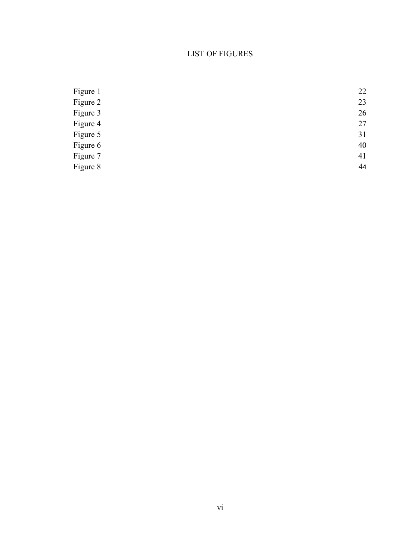# LIST OF FIGURES

| Figure 1 | 22 |
|----------|----|
| Figure 2 | 23 |
| Figure 3 | 26 |
| Figure 4 | 27 |
| Figure 5 | 31 |
| Figure 6 | 40 |
| Figure 7 | 41 |
| Figure 8 | 44 |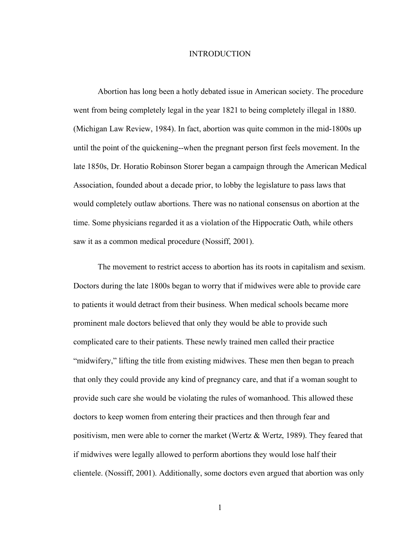#### INTRODUCTION

Abortion has long been a hotly debated issue in American society. The procedure went from being completely legal in the year 1821 to being completely illegal in 1880. (Michigan Law Review, 1984). In fact, abortion was quite common in the mid-1800s up until the point of the quickening--when the pregnant person first feels movement. In the late 1850s, Dr. Horatio Robinson Storer began a campaign through the American Medical Association, founded about a decade prior, to lobby the legislature to pass laws that would completely outlaw abortions. There was no national consensus on abortion at the time. Some physicians regarded it as a violation of the Hippocratic Oath, while others saw it as a common medical procedure (Nossiff, 2001).

The movement to restrict access to abortion has its roots in capitalism and sexism. Doctors during the late 1800s began to worry that if midwives were able to provide care to patients it would detract from their business. When medical schools became more prominent male doctors believed that only they would be able to provide such complicated care to their patients. These newly trained men called their practice "midwifery," lifting the title from existing midwives. These men then began to preach that only they could provide any kind of pregnancy care, and that if a woman sought to provide such care she would be violating the rules of womanhood. This allowed these doctors to keep women from entering their practices and then through fear and positivism, men were able to corner the market (Wertz & Wertz, 1989). They feared that if midwives were legally allowed to perform abortions they would lose half their clientele. (Nossiff, 2001). Additionally, some doctors even argued that abortion was only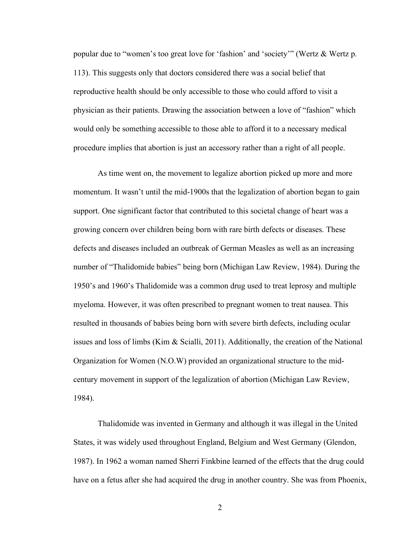popular due to "women's too great love for 'fashion' and 'society'" (Wertz & Wertz p. 113). This suggests only that doctors considered there was a social belief that reproductive health should be only accessible to those who could afford to visit a physician as their patients. Drawing the association between a love of "fashion" which would only be something accessible to those able to afford it to a necessary medical procedure implies that abortion is just an accessory rather than a right of all people.

As time went on, the movement to legalize abortion picked up more and more momentum. It wasn't until the mid-1900s that the legalization of abortion began to gain support. One significant factor that contributed to this societal change of heart was a growing concern over children being born with rare birth defects or diseases. These defects and diseases included an outbreak of German Measles as well as an increasing number of "Thalidomide babies" being born (Michigan Law Review, 1984). During the 1950's and 1960's Thalidomide was a common drug used to treat leprosy and multiple myeloma. However, it was often prescribed to pregnant women to treat nausea. This resulted in thousands of babies being born with severe birth defects, including ocular issues and loss of limbs (Kim & Scialli, 2011). Additionally, the creation of the National Organization for Women (N.O.W) provided an organizational structure to the midcentury movement in support of the legalization of abortion (Michigan Law Review, 1984).

Thalidomide was invented in Germany and although it was illegal in the United States, it was widely used throughout England, Belgium and West Germany (Glendon, 1987). In 1962 a woman named Sherri Finkbine learned of the effects that the drug could have on a fetus after she had acquired the drug in another country. She was from Phoenix,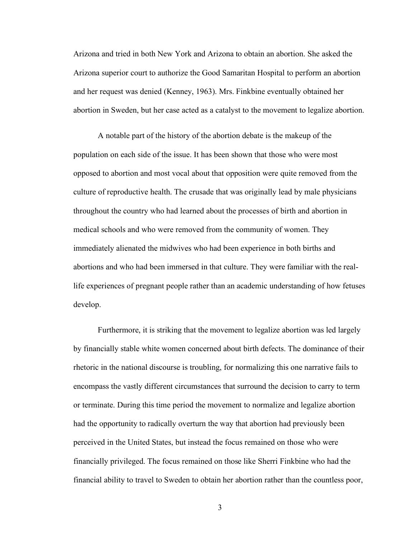Arizona and tried in both New York and Arizona to obtain an abortion. She asked the Arizona superior court to authorize the Good Samaritan Hospital to perform an abortion and her request was denied (Kenney, 1963). Mrs. Finkbine eventually obtained her abortion in Sweden, but her case acted as a catalyst to the movement to legalize abortion.

A notable part of the history of the abortion debate is the makeup of the population on each side of the issue. It has been shown that those who were most opposed to abortion and most vocal about that opposition were quite removed from the culture of reproductive health. The crusade that was originally lead by male physicians throughout the country who had learned about the processes of birth and abortion in medical schools and who were removed from the community of women. They immediately alienated the midwives who had been experience in both births and abortions and who had been immersed in that culture. They were familiar with the reallife experiences of pregnant people rather than an academic understanding of how fetuses develop.

Furthermore, it is striking that the movement to legalize abortion was led largely by financially stable white women concerned about birth defects. The dominance of their rhetoric in the national discourse is troubling, for normalizing this one narrative fails to encompass the vastly different circumstances that surround the decision to carry to term or terminate. During this time period the movement to normalize and legalize abortion had the opportunity to radically overturn the way that abortion had previously been perceived in the United States, but instead the focus remained on those who were financially privileged. The focus remained on those like Sherri Finkbine who had the financial ability to travel to Sweden to obtain her abortion rather than the countless poor,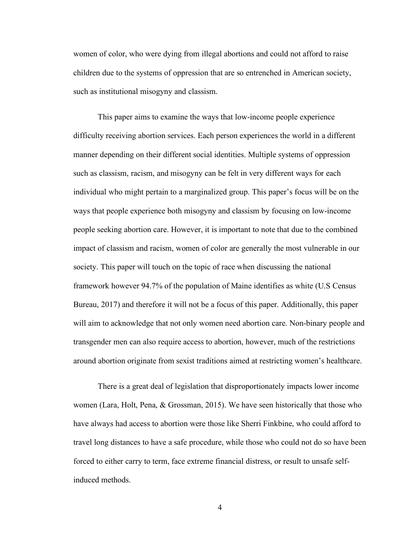women of color, who were dying from illegal abortions and could not afford to raise children due to the systems of oppression that are so entrenched in American society, such as institutional misogyny and classism.

This paper aims to examine the ways that low-income people experience difficulty receiving abortion services. Each person experiences the world in a different manner depending on their different social identities. Multiple systems of oppression such as classism, racism, and misogyny can be felt in very different ways for each individual who might pertain to a marginalized group. This paper's focus will be on the ways that people experience both misogyny and classism by focusing on low-income people seeking abortion care. However, it is important to note that due to the combined impact of classism and racism, women of color are generally the most vulnerable in our society. This paper will touch on the topic of race when discussing the national framework however 94.7% of the population of Maine identifies as white (U.S Census Bureau, 2017) and therefore it will not be a focus of this paper. Additionally, this paper will aim to acknowledge that not only women need abortion care. Non-binary people and transgender men can also require access to abortion, however, much of the restrictions around abortion originate from sexist traditions aimed at restricting women's healthcare.

There is a great deal of legislation that disproportionately impacts lower income women (Lara, Holt, Pena, & Grossman, 2015). We have seen historically that those who have always had access to abortion were those like Sherri Finkbine, who could afford to travel long distances to have a safe procedure, while those who could not do so have been forced to either carry to term, face extreme financial distress, or result to unsafe selfinduced methods.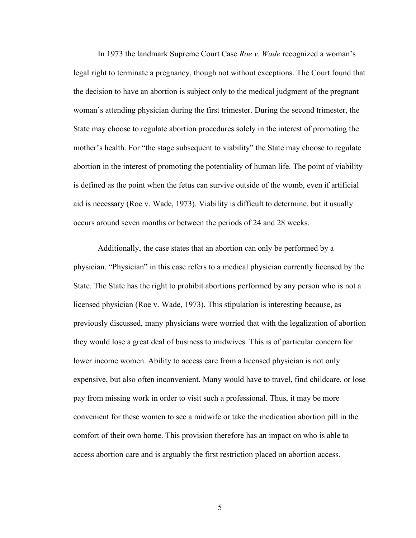In 1973 the landmark Supreme Court Case *Roe v. Wade* recognized a woman's legal right to terminate a pregnancy, though not without exceptions. The Court found that the decision to have an abortion is subject only to the medical judgment of the pregnant woman's attending physician during the first trimester. During the second trimester, the State may choose to regulate abortion procedures solely in the interest of promoting the mother's health. For "the stage subsequent to viability" the State may choose to regulate abortion in the interest of promoting the potentiality of human life. The point of viability is defined as the point when the fetus can survive outside of the womb, even if artificial aid is necessary (Roe v. Wade, 1973). Viability is difficult to determine, but it usually occurs around seven months or between the periods of 24 and 28 weeks.

Additionally, the case states that an abortion can only be performed by a physician. "Physician" in this case refers to a medical physician currently licensed by the State. The State has the right to prohibit abortions performed by any person who is not a licensed physician (Roe v. Wade, 1973). This stipulation is interesting because, as previously discussed, many physicians were worried that with the legalization of abortion they would lose a great deal of business to midwives. This is of particular concern for lower income women. Ability to access care from a licensed physician is not only expensive, but also often inconvenient. Many would have to travel, find childcare, or lose pay from missing work in order to visit such a professional. Thus, it may be more convenient for these women to see a midwife or take the medication abortion pill in the comfort of their own home. This provision therefore has an impact on who is able to access abortion care and is arguably the first restriction placed on abortion access.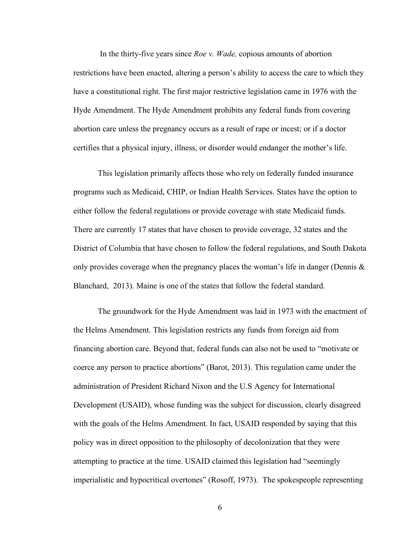In the thirty-five years since *Roe v. Wade,* copious amounts of abortion restrictions have been enacted, altering a person's ability to access the care to which they have a constitutional right. The first major restrictive legislation came in 1976 with the Hyde Amendment. The Hyde Amendment prohibits any federal funds from covering abortion care unless the pregnancy occurs as a result of rape or incest; or if a doctor certifies that a physical injury, illness, or disorder would endanger the mother's life.

This legislation primarily affects those who rely on federally funded insurance programs such as Medicaid, CHIP, or Indian Health Services. States have the option to either follow the federal regulations or provide coverage with state Medicaid funds. There are currently 17 states that have chosen to provide coverage, 32 states and the District of Columbia that have chosen to follow the federal regulations, and South Dakota only provides coverage when the pregnancy places the woman's life in danger (Dennis  $\&$ Blanchard, 2013). Maine is one of the states that follow the federal standard.

The groundwork for the Hyde Amendment was laid in 1973 with the enactment of the Helms Amendment. This legislation restricts any funds from foreign aid from financing abortion care. Beyond that, federal funds can also not be used to "motivate or coerce any person to practice abortions" (Barot, 2013). This regulation came under the administration of President Richard Nixon and the U.S Agency for International Development (USAID), whose funding was the subject for discussion, clearly disagreed with the goals of the Helms Amendment. In fact, USAID responded by saying that this policy was in direct opposition to the philosophy of decolonization that they were attempting to practice at the time. USAID claimed this legislation had "seemingly imperialistic and hypocritical overtones" (Rosoff, 1973). The spokespeople representing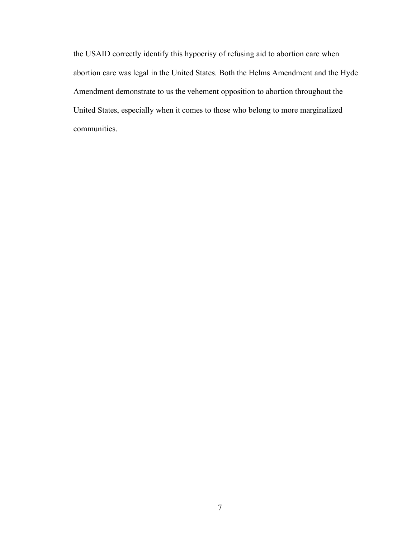the USAID correctly identify this hypocrisy of refusing aid to abortion care when abortion care was legal in the United States. Both the Helms Amendment and the Hyde Amendment demonstrate to us the vehement opposition to abortion throughout the United States, especially when it comes to those who belong to more marginalized communities.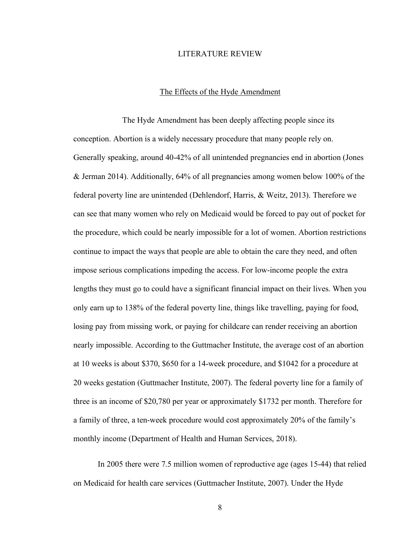#### LITERATURE REVIEW

#### The Effects of the Hyde Amendment

The Hyde Amendment has been deeply affecting people since its conception. Abortion is a widely necessary procedure that many people rely on. Generally speaking, around 40-42% of all unintended pregnancies end in abortion (Jones & Jerman 2014). Additionally, 64% of all pregnancies among women below 100% of the federal poverty line are unintended (Dehlendorf, Harris, & Weitz, 2013). Therefore we can see that many women who rely on Medicaid would be forced to pay out of pocket for the procedure, which could be nearly impossible for a lot of women. Abortion restrictions continue to impact the ways that people are able to obtain the care they need, and often impose serious complications impeding the access. For low-income people the extra lengths they must go to could have a significant financial impact on their lives. When you only earn up to 138% of the federal poverty line, things like travelling, paying for food, losing pay from missing work, or paying for childcare can render receiving an abortion nearly impossible. According to the Guttmacher Institute, the average cost of an abortion at 10 weeks is about \$370, \$650 for a 14-week procedure, and \$1042 for a procedure at 20 weeks gestation (Guttmacher Institute, 2007). The federal poverty line for a family of three is an income of \$20,780 per year or approximately \$1732 per month. Therefore for a family of three, a ten-week procedure would cost approximately 20% of the family's monthly income (Department of Health and Human Services, 2018).

In 2005 there were 7.5 million women of reproductive age (ages 15-44) that relied on Medicaid for health care services (Guttmacher Institute, 2007). Under the Hyde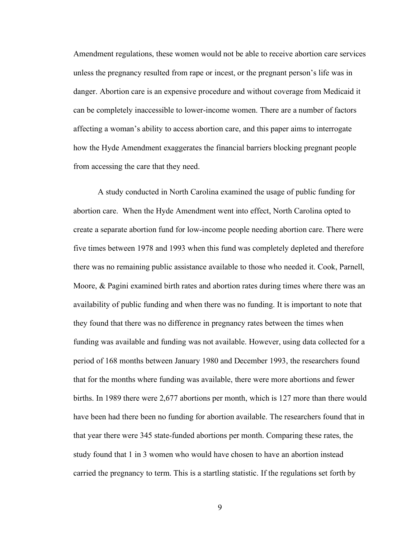Amendment regulations, these women would not be able to receive abortion care services unless the pregnancy resulted from rape or incest, or the pregnant person's life was in danger. Abortion care is an expensive procedure and without coverage from Medicaid it can be completely inaccessible to lower-income women. There are a number of factors affecting a woman's ability to access abortion care, and this paper aims to interrogate how the Hyde Amendment exaggerates the financial barriers blocking pregnant people from accessing the care that they need.

A study conducted in North Carolina examined the usage of public funding for abortion care. When the Hyde Amendment went into effect, North Carolina opted to create a separate abortion fund for low-income people needing abortion care. There were five times between 1978 and 1993 when this fund was completely depleted and therefore there was no remaining public assistance available to those who needed it. Cook, Parnell, Moore, & Pagini examined birth rates and abortion rates during times where there was an availability of public funding and when there was no funding. It is important to note that they found that there was no difference in pregnancy rates between the times when funding was available and funding was not available. However, using data collected for a period of 168 months between January 1980 and December 1993, the researchers found that for the months where funding was available, there were more abortions and fewer births. In 1989 there were 2,677 abortions per month, which is 127 more than there would have been had there been no funding for abortion available. The researchers found that in that year there were 345 state-funded abortions per month. Comparing these rates, the study found that 1 in 3 women who would have chosen to have an abortion instead carried the pregnancy to term. This is a startling statistic. If the regulations set forth by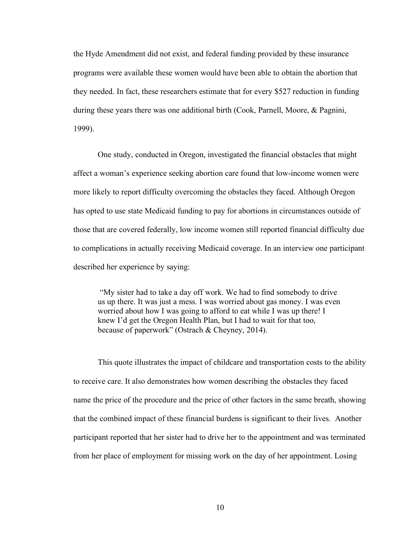the Hyde Amendment did not exist, and federal funding provided by these insurance programs were available these women would have been able to obtain the abortion that they needed. In fact, these researchers estimate that for every \$527 reduction in funding during these years there was one additional birth (Cook, Parnell, Moore, & Pagnini, 1999).

One study, conducted in Oregon, investigated the financial obstacles that might affect a woman's experience seeking abortion care found that low-income women were more likely to report difficulty overcoming the obstacles they faced. Although Oregon has opted to use state Medicaid funding to pay for abortions in circumstances outside of those that are covered federally, low income women still reported financial difficulty due to complications in actually receiving Medicaid coverage. In an interview one participant described her experience by saying:

"My sister had to take a day off work. We had to find somebody to drive us up there. It was just a mess. I was worried about gas money. I was even worried about how I was going to afford to eat while I was up there! I knew I'd get the Oregon Health Plan, but I had to wait for that too, because of paperwork" (Ostrach & Cheyney, 2014).

This quote illustrates the impact of childcare and transportation costs to the ability to receive care. It also demonstrates how women describing the obstacles they faced name the price of the procedure and the price of other factors in the same breath, showing that the combined impact of these financial burdens is significant to their lives. Another participant reported that her sister had to drive her to the appointment and was terminated from her place of employment for missing work on the day of her appointment. Losing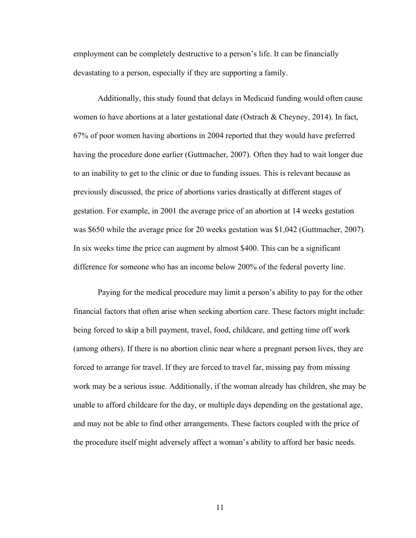employment can be completely destructive to a person's life. It can be financially devastating to a person, especially if they are supporting a family.

Additionally, this study found that delays in Medicaid funding would often cause women to have abortions at a later gestational date (Ostrach & Cheyney, 2014). In fact, 67% of poor women having abortions in 2004 reported that they would have preferred having the procedure done earlier (Guttmacher, 2007). Often they had to wait longer due to an inability to get to the clinic or due to funding issues. This is relevant because as previously discussed, the price of abortions varies drastically at different stages of gestation. For example, in 2001 the average price of an abortion at 14 weeks gestation was \$650 while the average price for 20 weeks gestation was \$1,042 (Guttmacher, 2007). In six weeks time the price can augment by almost \$400. This can be a significant difference for someone who has an income below 200% of the federal poverty line.

Paying for the medical procedure may limit a person's ability to pay for the other financial factors that often arise when seeking abortion care. These factors might include: being forced to skip a bill payment, travel, food, childcare, and getting time off work (among others). If there is no abortion clinic near where a pregnant person lives, they are forced to arrange for travel. If they are forced to travel far, missing pay from missing work may be a serious issue. Additionally, if the woman already has children, she may be unable to afford childcare for the day, or multiple days depending on the gestational age, and may not be able to find other arrangements. These factors coupled with the price of the procedure itself might adversely affect a woman's ability to afford her basic needs.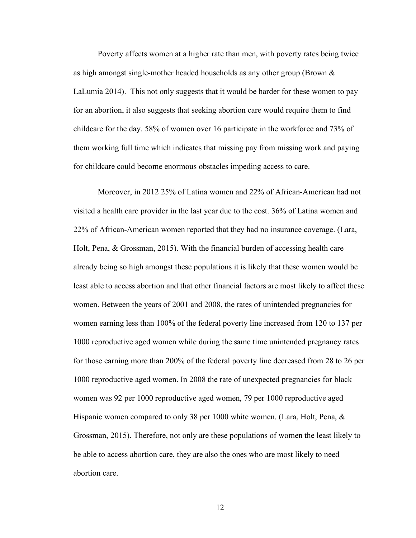Poverty affects women at a higher rate than men, with poverty rates being twice as high amongst single-mother headed households as any other group (Brown  $\&$ LaLumia 2014). This not only suggests that it would be harder for these women to pay for an abortion, it also suggests that seeking abortion care would require them to find childcare for the day. 58% of women over 16 participate in the workforce and 73% of them working full time which indicates that missing pay from missing work and paying for childcare could become enormous obstacles impeding access to care.

Moreover, in 2012 25% of Latina women and 22% of African-American had not visited a health care provider in the last year due to the cost. 36% of Latina women and 22% of African-American women reported that they had no insurance coverage. (Lara, Holt, Pena, & Grossman, 2015). With the financial burden of accessing health care already being so high amongst these populations it is likely that these women would be least able to access abortion and that other financial factors are most likely to affect these women. Between the years of 2001 and 2008, the rates of unintended pregnancies for women earning less than 100% of the federal poverty line increased from 120 to 137 per 1000 reproductive aged women while during the same time unintended pregnancy rates for those earning more than 200% of the federal poverty line decreased from 28 to 26 per 1000 reproductive aged women. In 2008 the rate of unexpected pregnancies for black women was 92 per 1000 reproductive aged women, 79 per 1000 reproductive aged Hispanic women compared to only 38 per 1000 white women. (Lara, Holt, Pena, & Grossman, 2015). Therefore, not only are these populations of women the least likely to be able to access abortion care, they are also the ones who are most likely to need abortion care.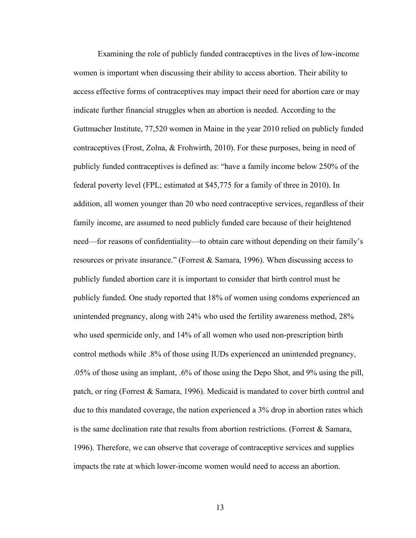Examining the role of publicly funded contraceptives in the lives of low-income women is important when discussing their ability to access abortion. Their ability to access effective forms of contraceptives may impact their need for abortion care or may indicate further financial struggles when an abortion is needed. According to the Guttmacher Institute, 77,520 women in Maine in the year 2010 relied on publicly funded contraceptives (Frost, Zolna, & Frohwirth, 2010). For these purposes, being in need of publicly funded contraceptives is defined as: "have a family income below 250% of the federal poverty level (FPL; estimated at \$45,775 for a family of three in 2010). In addition, all women younger than 20 who need contraceptive services, regardless of their family income, are assumed to need publicly funded care because of their heightened need—for reasons of confidentiality—to obtain care without depending on their family's resources or private insurance." (Forrest & Samara, 1996). When discussing access to publicly funded abortion care it is important to consider that birth control must be publicly funded. One study reported that 18% of women using condoms experienced an unintended pregnancy, along with 24% who used the fertility awareness method, 28% who used spermicide only, and 14% of all women who used non-prescription birth control methods while .8% of those using IUDs experienced an unintended pregnancy, .05% of those using an implant, .6% of those using the Depo Shot, and 9% using the pill, patch, or ring (Forrest & Samara, 1996). Medicaid is mandated to cover birth control and due to this mandated coverage, the nation experienced a 3% drop in abortion rates which is the same declination rate that results from abortion restrictions. (Forrest  $\&$  Samara, 1996). Therefore, we can observe that coverage of contraceptive services and supplies impacts the rate at which lower-income women would need to access an abortion.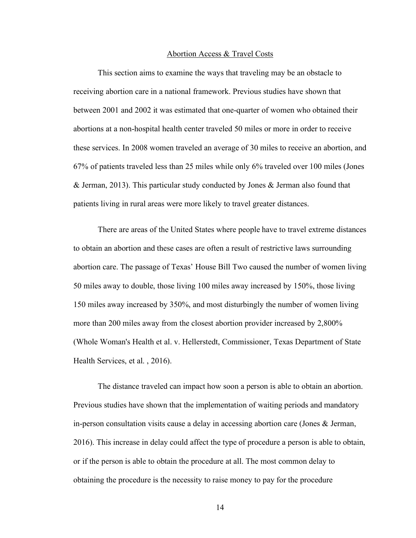#### Abortion Access & Travel Costs

This section aims to examine the ways that traveling may be an obstacle to receiving abortion care in a national framework. Previous studies have shown that between 2001 and 2002 it was estimated that one-quarter of women who obtained their abortions at a non-hospital health center traveled 50 miles or more in order to receive these services. In 2008 women traveled an average of 30 miles to receive an abortion, and 67% of patients traveled less than 25 miles while only 6% traveled over 100 miles (Jones & Jerman, 2013). This particular study conducted by Jones & Jerman also found that patients living in rural areas were more likely to travel greater distances.

There are areas of the United States where people have to travel extreme distances to obtain an abortion and these cases are often a result of restrictive laws surrounding abortion care. The passage of Texas' House Bill Two caused the number of women living 50 miles away to double, those living 100 miles away increased by 150%, those living 150 miles away increased by 350%, and most disturbingly the number of women living more than 200 miles away from the closest abortion provider increased by 2,800% (Whole Woman's Health et al. v. Hellerstedt, Commissioner, Texas Department of State Health Services, et al. , 2016).

The distance traveled can impact how soon a person is able to obtain an abortion. Previous studies have shown that the implementation of waiting periods and mandatory in-person consultation visits cause a delay in accessing abortion care (Jones & Jerman, 2016). This increase in delay could affect the type of procedure a person is able to obtain, or if the person is able to obtain the procedure at all. The most common delay to obtaining the procedure is the necessity to raise money to pay for the procedure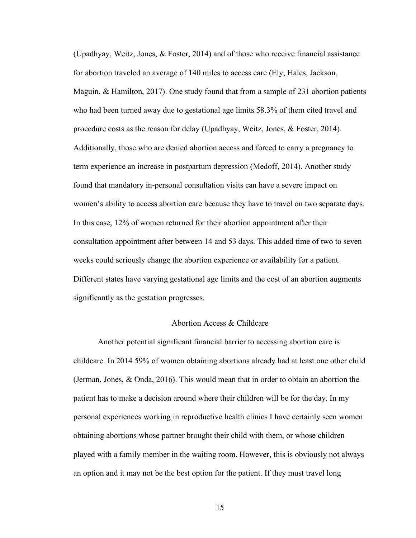(Upadhyay, Weitz, Jones, & Foster, 2014) and of those who receive financial assistance for abortion traveled an average of 140 miles to access care (Ely, Hales, Jackson, Maguin, & Hamilton, 2017). One study found that from a sample of 231 abortion patients who had been turned away due to gestational age limits 58.3% of them cited travel and procedure costs as the reason for delay (Upadhyay, Weitz, Jones, & Foster, 2014). Additionally, those who are denied abortion access and forced to carry a pregnancy to term experience an increase in postpartum depression (Medoff, 2014). Another study found that mandatory in-personal consultation visits can have a severe impact on women's ability to access abortion care because they have to travel on two separate days. In this case, 12% of women returned for their abortion appointment after their consultation appointment after between 14 and 53 days. This added time of two to seven weeks could seriously change the abortion experience or availability for a patient. Different states have varying gestational age limits and the cost of an abortion augments significantly as the gestation progresses.

#### Abortion Access & Childcare

Another potential significant financial barrier to accessing abortion care is childcare. In 2014 59% of women obtaining abortions already had at least one other child (Jerman, Jones, & Onda, 2016). This would mean that in order to obtain an abortion the patient has to make a decision around where their children will be for the day. In my personal experiences working in reproductive health clinics I have certainly seen women obtaining abortions whose partner brought their child with them, or whose children played with a family member in the waiting room. However, this is obviously not always an option and it may not be the best option for the patient. If they must travel long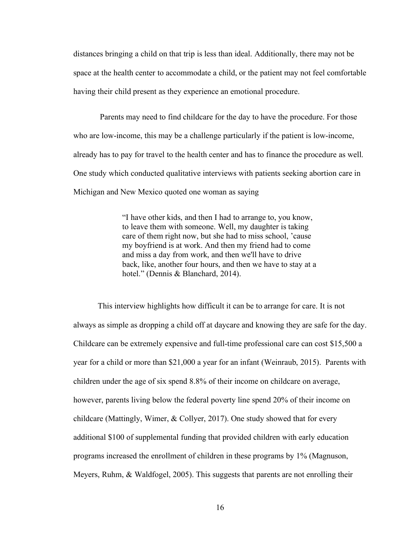distances bringing a child on that trip is less than ideal. Additionally, there may not be space at the health center to accommodate a child, or the patient may not feel comfortable having their child present as they experience an emotional procedure.

Parents may need to find childcare for the day to have the procedure. For those who are low-income, this may be a challenge particularly if the patient is low-income, already has to pay for travel to the health center and has to finance the procedure as well. One study which conducted qualitative interviews with patients seeking abortion care in Michigan and New Mexico quoted one woman as saying

> "I have other kids, and then I had to arrange to, you know, to leave them with someone. Well, my daughter is taking care of them right now, but she had to miss school, 'cause my boyfriend is at work. And then my friend had to come and miss a day from work, and then we'll have to drive back, like, another four hours, and then we have to stay at a hotel." (Dennis & Blanchard, 2014).

This interview highlights how difficult it can be to arrange for care. It is not always as simple as dropping a child off at daycare and knowing they are safe for the day. Childcare can be extremely expensive and full-time professional care can cost \$15,500 a year for a child or more than \$21,000 a year for an infant (Weinraub, 2015). Parents with children under the age of six spend 8.8% of their income on childcare on average, however, parents living below the federal poverty line spend 20% of their income on childcare (Mattingly, Wimer, & Collyer, 2017). One study showed that for every additional \$100 of supplemental funding that provided children with early education programs increased the enrollment of children in these programs by 1% (Magnuson, Meyers, Ruhm, & Waldfogel, 2005). This suggests that parents are not enrolling their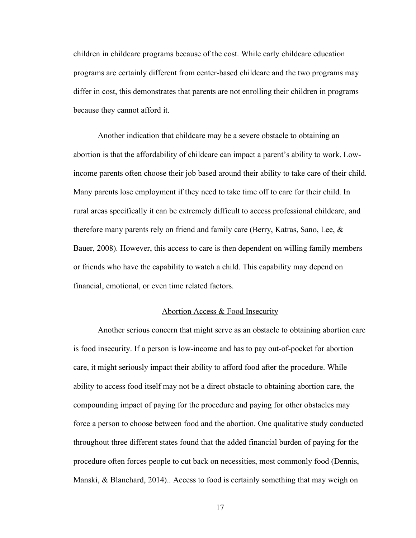children in childcare programs because of the cost. While early childcare education programs are certainly different from center-based childcare and the two programs may differ in cost, this demonstrates that parents are not enrolling their children in programs because they cannot afford it.

Another indication that childcare may be a severe obstacle to obtaining an abortion is that the affordability of childcare can impact a parent's ability to work. Lowincome parents often choose their job based around their ability to take care of their child. Many parents lose employment if they need to take time off to care for their child. In rural areas specifically it can be extremely difficult to access professional childcare, and therefore many parents rely on friend and family care (Berry, Katras, Sano, Lee, & Bauer, 2008). However, this access to care is then dependent on willing family members or friends who have the capability to watch a child. This capability may depend on financial, emotional, or even time related factors.

#### Abortion Access & Food Insecurity

Another serious concern that might serve as an obstacle to obtaining abortion care is food insecurity. If a person is low-income and has to pay out-of-pocket for abortion care, it might seriously impact their ability to afford food after the procedure. While ability to access food itself may not be a direct obstacle to obtaining abortion care, the compounding impact of paying for the procedure and paying for other obstacles may force a person to choose between food and the abortion. One qualitative study conducted throughout three different states found that the added financial burden of paying for the procedure often forces people to cut back on necessities, most commonly food (Dennis, Manski, & Blanchard, 2014).. Access to food is certainly something that may weigh on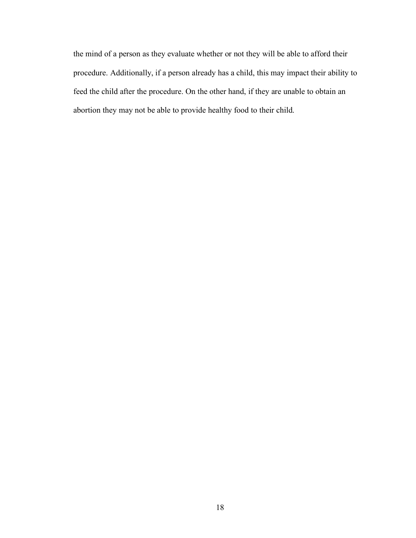the mind of a person as they evaluate whether or not they will be able to afford their procedure. Additionally, if a person already has a child, this may impact their ability to feed the child after the procedure. On the other hand, if they are unable to obtain an abortion they may not be able to provide healthy food to their child.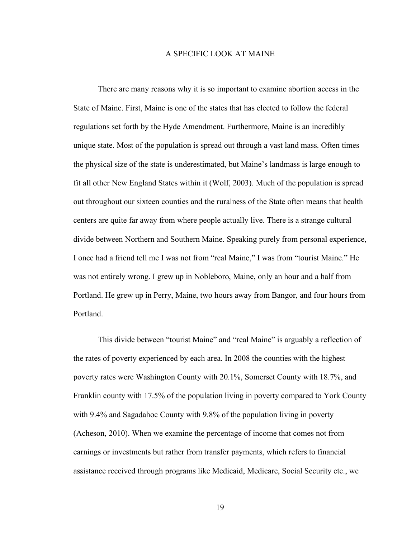#### A SPECIFIC LOOK AT MAINE

There are many reasons why it is so important to examine abortion access in the State of Maine. First, Maine is one of the states that has elected to follow the federal regulations set forth by the Hyde Amendment. Furthermore, Maine is an incredibly unique state. Most of the population is spread out through a vast land mass. Often times the physical size of the state is underestimated, but Maine's landmass is large enough to fit all other New England States within it (Wolf, 2003). Much of the population is spread out throughout our sixteen counties and the ruralness of the State often means that health centers are quite far away from where people actually live. There is a strange cultural divide between Northern and Southern Maine. Speaking purely from personal experience, I once had a friend tell me I was not from "real Maine," I was from "tourist Maine." He was not entirely wrong. I grew up in Nobleboro, Maine, only an hour and a half from Portland. He grew up in Perry, Maine, two hours away from Bangor, and four hours from Portland.

This divide between "tourist Maine" and "real Maine" is arguably a reflection of the rates of poverty experienced by each area. In 2008 the counties with the highest poverty rates were Washington County with 20.1%, Somerset County with 18.7%, and Franklin county with 17.5% of the population living in poverty compared to York County with 9.4% and Sagadahoc County with 9.8% of the population living in poverty (Acheson, 2010). When we examine the percentage of income that comes not from earnings or investments but rather from transfer payments, which refers to financial assistance received through programs like Medicaid, Medicare, Social Security etc., we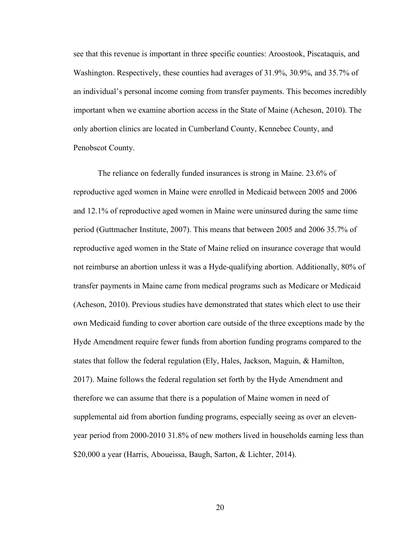see that this revenue is important in three specific counties: Aroostook, Piscataquis, and Washington. Respectively, these counties had averages of 31.9%, 30.9%, and 35.7% of an individual's personal income coming from transfer payments. This becomes incredibly important when we examine abortion access in the State of Maine (Acheson, 2010). The only abortion clinics are located in Cumberland County, Kennebec County, and Penobscot County.

The reliance on federally funded insurances is strong in Maine. 23.6% of reproductive aged women in Maine were enrolled in Medicaid between 2005 and 2006 and 12.1% of reproductive aged women in Maine were uninsured during the same time period (Guttmacher Institute, 2007). This means that between 2005 and 2006 35.7% of reproductive aged women in the State of Maine relied on insurance coverage that would not reimburse an abortion unless it was a Hyde-qualifying abortion. Additionally, 80% of transfer payments in Maine came from medical programs such as Medicare or Medicaid (Acheson, 2010). Previous studies have demonstrated that states which elect to use their own Medicaid funding to cover abortion care outside of the three exceptions made by the Hyde Amendment require fewer funds from abortion funding programs compared to the states that follow the federal regulation (Ely, Hales, Jackson, Maguin, & Hamilton, 2017). Maine follows the federal regulation set forth by the Hyde Amendment and therefore we can assume that there is a population of Maine women in need of supplemental aid from abortion funding programs, especially seeing as over an elevenyear period from 2000-2010 31.8% of new mothers lived in households earning less than \$20,000 a year (Harris, Aboueissa, Baugh, Sarton, & Lichter, 2014).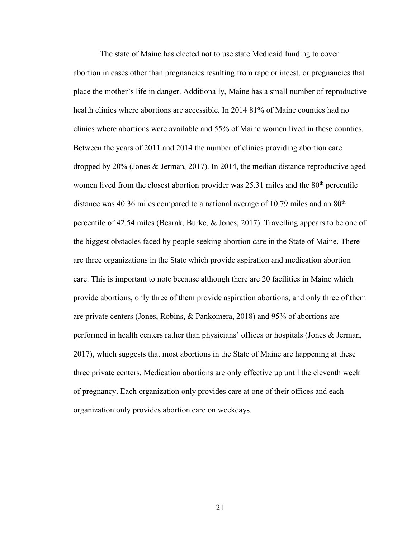The state of Maine has elected not to use state Medicaid funding to cover abortion in cases other than pregnancies resulting from rape or incest, or pregnancies that place the mother's life in danger. Additionally, Maine has a small number of reproductive health clinics where abortions are accessible. In 2014 81% of Maine counties had no clinics where abortions were available and 55% of Maine women lived in these counties. Between the years of 2011 and 2014 the number of clinics providing abortion care dropped by 20% (Jones & Jerman, 2017). In 2014, the median distance reproductive aged women lived from the closest abortion provider was  $25.31$  miles and the  $80<sup>th</sup>$  percentile distance was 40.36 miles compared to a national average of 10.79 miles and an  $80<sup>th</sup>$ percentile of 42.54 miles (Bearak, Burke, & Jones, 2017). Travelling appears to be one of the biggest obstacles faced by people seeking abortion care in the State of Maine. There are three organizations in the State which provide aspiration and medication abortion care. This is important to note because although there are 20 facilities in Maine which provide abortions, only three of them provide aspiration abortions, and only three of them are private centers (Jones, Robins, & Pankomera, 2018) and 95% of abortions are performed in health centers rather than physicians' offices or hospitals (Jones & Jerman, 2017), which suggests that most abortions in the State of Maine are happening at these three private centers. Medication abortions are only effective up until the eleventh week of pregnancy. Each organization only provides care at one of their offices and each organization only provides abortion care on weekdays.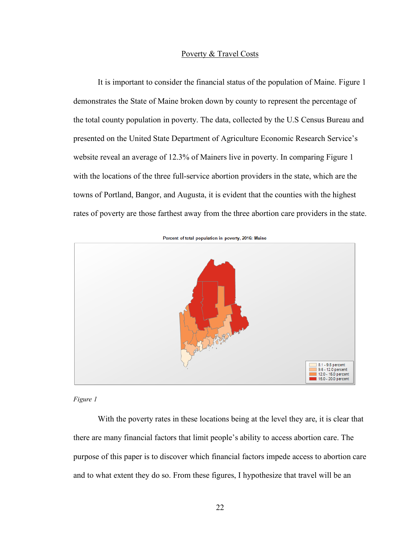#### Poverty & Travel Costs

It is important to consider the financial status of the population of Maine. Figure 1 demonstrates the State of Maine broken down by county to represent the percentage of the total county population in poverty. The data, collected by the U.S Census Bureau and presented on the United State Department of Agriculture Economic Research Service's website reveal an average of 12.3% of Mainers live in poverty. In comparing Figure 1 with the locations of the three full-service abortion providers in the state, which are the towns of Portland, Bangor, and Augusta, it is evident that the counties with the highest rates of poverty are those farthest away from the three abortion care providers in the state.



Percent of total population in poverty, 2016: Maine

#### *Figure 1*

With the poverty rates in these locations being at the level they are, it is clear that there are many financial factors that limit people's ability to access abortion care. The purpose of this paper is to discover which financial factors impede access to abortion care and to what extent they do so. From these figures, I hypothesize that travel will be an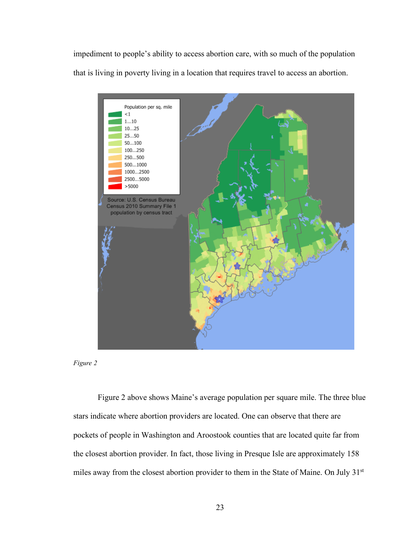impediment to people's ability to access abortion care, with so much of the population that is living in poverty living in a location that requires travel to access an abortion.





Figure 2 above shows Maine's average population per square mile. The three blue stars indicate where abortion providers are located. One can observe that there are pockets of people in Washington and Aroostook counties that are located quite far from the closest abortion provider. In fact, those living in Presque Isle are approximately 158 miles away from the closest abortion provider to them in the State of Maine. On July 31st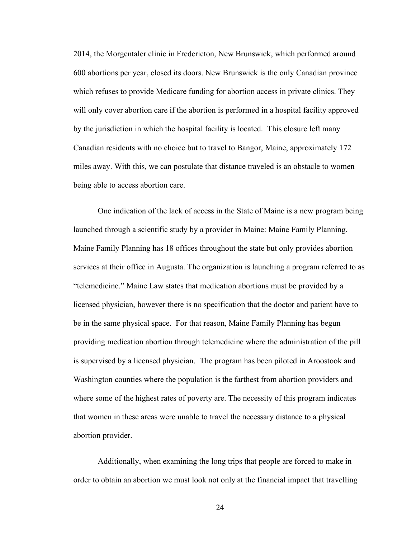2014, the Morgentaler clinic in Fredericton, New Brunswick, which performed around 600 abortions per year, closed its doors. New Brunswick is the only Canadian province which refuses to provide Medicare funding for abortion access in private clinics. They will only cover abortion care if the abortion is performed in a hospital facility approved by the jurisdiction in which the hospital facility is located. This closure left many Canadian residents with no choice but to travel to Bangor, Maine, approximately 172 miles away. With this, we can postulate that distance traveled is an obstacle to women being able to access abortion care.

One indication of the lack of access in the State of Maine is a new program being launched through a scientific study by a provider in Maine: Maine Family Planning. Maine Family Planning has 18 offices throughout the state but only provides abortion services at their office in Augusta. The organization is launching a program referred to as "telemedicine." Maine Law states that medication abortions must be provided by a licensed physician, however there is no specification that the doctor and patient have to be in the same physical space. For that reason, Maine Family Planning has begun providing medication abortion through telemedicine where the administration of the pill is supervised by a licensed physician. The program has been piloted in Aroostook and Washington counties where the population is the farthest from abortion providers and where some of the highest rates of poverty are. The necessity of this program indicates that women in these areas were unable to travel the necessary distance to a physical abortion provider.

Additionally, when examining the long trips that people are forced to make in order to obtain an abortion we must look not only at the financial impact that travelling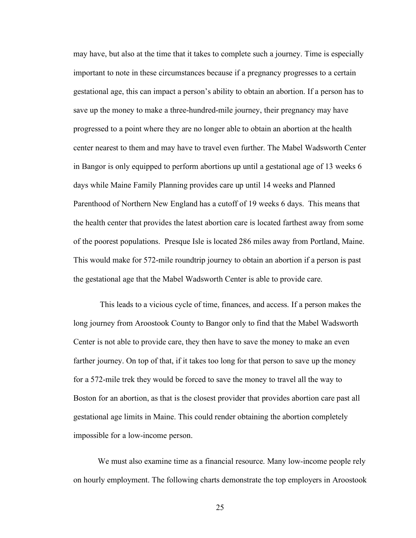may have, but also at the time that it takes to complete such a journey. Time is especially important to note in these circumstances because if a pregnancy progresses to a certain gestational age, this can impact a person's ability to obtain an abortion. If a person has to save up the money to make a three-hundred-mile journey, their pregnancy may have progressed to a point where they are no longer able to obtain an abortion at the health center nearest to them and may have to travel even further. The Mabel Wadsworth Center in Bangor is only equipped to perform abortions up until a gestational age of 13 weeks 6 days while Maine Family Planning provides care up until 14 weeks and Planned Parenthood of Northern New England has a cutoff of 19 weeks 6 days. This means that the health center that provides the latest abortion care is located farthest away from some of the poorest populations. Presque Isle is located 286 miles away from Portland, Maine. This would make for 572-mile roundtrip journey to obtain an abortion if a person is past the gestational age that the Mabel Wadsworth Center is able to provide care.

This leads to a vicious cycle of time, finances, and access. If a person makes the long journey from Aroostook County to Bangor only to find that the Mabel Wadsworth Center is not able to provide care, they then have to save the money to make an even farther journey. On top of that, if it takes too long for that person to save up the money for a 572-mile trek they would be forced to save the money to travel all the way to Boston for an abortion, as that is the closest provider that provides abortion care past all gestational age limits in Maine. This could render obtaining the abortion completely impossible for a low-income person.

We must also examine time as a financial resource. Many low-income people rely on hourly employment. The following charts demonstrate the top employers in Aroostook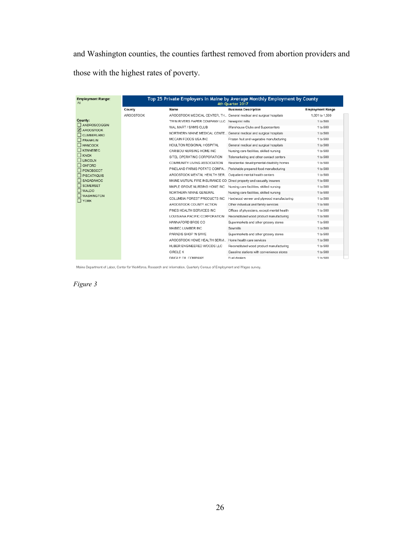and Washington counties, the counties farthest removed from abortion providers and those with the highest rates of poverty.

| <b>Employment Range:</b><br>All | Top 25 Private Employers in Maine by Average Monthly Employment by County<br>4th Ouarter 2017 |                                                                      |                                             |                         |  |
|---------------------------------|-----------------------------------------------------------------------------------------------|----------------------------------------------------------------------|---------------------------------------------|-------------------------|--|
|                                 | County                                                                                        | Name                                                                 | <b>Business Description</b>                 | <b>Employment Range</b> |  |
|                                 | AROOSTOOK                                                                                     | AROOSTOOK MEDICAL CENTER, TH General medical and surgical hospitals  |                                             | 1,001 to 1,500          |  |
| County:                         |                                                                                               | TWIN RIVERS PAPER COMPANY LLC                                        | Newsprint mills                             | 1 to 500                |  |
| ANDROSCOGGIN<br>AROOSTOOK       |                                                                                               | WAL MART / SAM'S CLUB                                                | Warehouse Clubs and Supercenters            | 1 to 500                |  |
| <b>CUMBERLAND</b>               |                                                                                               | NORTHERN MAINE MEDICAL CENTE General medical and surgical hospitals  |                                             | 1 to 500                |  |
| <b>FRANKLIN</b>                 |                                                                                               | MCCAIN FOODS USA INC                                                 | Frozen fruit and vegetable manufacturing    | 1 to 500                |  |
| <b>HANCOCK</b>                  |                                                                                               | HOULTON REGIONAL HOSPITAL                                            | General medical and surgical hospitals      | 1 to 500                |  |
| <b>KENNEBEC</b>                 |                                                                                               | CARIBOU NURSING HOME INC                                             | Nursing care facilities, skilled nursing    | 1 to 500                |  |
| <b>KNOX</b>                     |                                                                                               | SITEL OPERATING CORPORATION                                          | Telemarketing and other contact centers     | 1 to 500                |  |
| <b>LINCOLN</b><br>OXFORD        |                                                                                               | COMMUNITY LIVING ASSOCIATION                                         | Residential developmental disability homes  | 1 to 500                |  |
| <b>PENOBSCOT</b>                |                                                                                               | PINELAND FARMS POTATO COMPA                                          | Perishable prepared food manufacturing      | 1 to 500                |  |
| <b>PISCATAQUIS</b>              |                                                                                               | AROOSTOOK MENTAL HEALTH SER                                          | Outpatient mental health centers            | 1 to 500                |  |
| SAGADAHOC                       |                                                                                               | MAINE MUTUAL FIRE INSURANCE CO Direct property and casualty insurers |                                             | 1 to 500                |  |
| SOMERSET                        |                                                                                               | MAPLE GROVE NURSING HOME INC                                         | Nursing care facilities, skilled nursing    | 1 to 500                |  |
| WALDO<br><b>WASHINGTON</b>      |                                                                                               | NORTHERN MAINE GENERAL                                               | Nursing care facilities, skilled nursing    | 1 to 500                |  |
| <b>TYORK</b>                    |                                                                                               | COLUMBIA FOREST PRODUCTS INC                                         | Hardwood veneer and plywood manufacturing   | 1 to 500                |  |
|                                 |                                                                                               | AROOSTOOK COUNTY ACTION                                              | Other individual and family services        | 1 to 500                |  |
|                                 |                                                                                               | PINES HEALTH SERVICES INC.                                           | Offices of physicians, except mental health | 1 to 500                |  |
|                                 |                                                                                               | LOUISIANA PACIFIC CORPORATION                                        | Reconstituted wood product manufacturing    | 1 to 500                |  |
|                                 |                                                                                               | HANNAFORD BROS CO                                                    | Supermarkets and other grocery stores       | 1 to 500                |  |
|                                 |                                                                                               | MAIBEC LUMBER INC                                                    | Sawmills                                    | 1 to 500                |  |
|                                 |                                                                                               | PARADIS SHOP 'N SAVE                                                 | Supermarkets and other grocery stores       | 1 to 500                |  |
|                                 |                                                                                               | AROOSTOOK HOME HEALTH SERVI Home health care services                |                                             | 1 to 500                |  |
|                                 |                                                                                               | HUBER ENGINEERED WOODS LLC                                           | Reconstituted wood product manufacturing    | 1 to 500                |  |
|                                 |                                                                                               | CIRCLE K                                                             | Gasoline stations with convenience stores   | 1 to 500                |  |
|                                 |                                                                                               | DAIGLE OIL COMPANY                                                   | Fuel dealers                                | 1 to 500                |  |

Maine Department of Labor, Center for Workforce, Research and Information, Quarterly Census of Employment and Wages survey.

*Figure 3*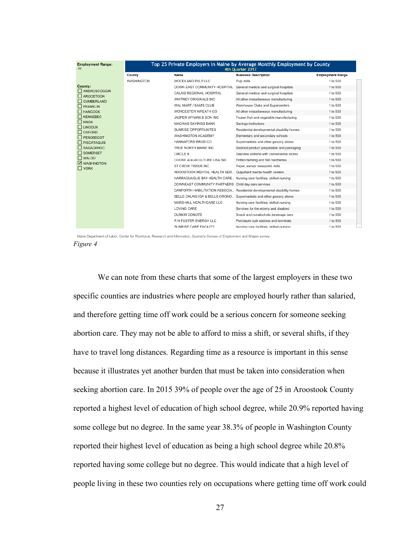| <b>Employment Range:</b><br>All  | Top 25 Private Employers in Maine by Average Monthly Employment by County<br>4th Ouarter 2017 |                                                                      |                                                                          |                         |  |
|----------------------------------|-----------------------------------------------------------------------------------------------|----------------------------------------------------------------------|--------------------------------------------------------------------------|-------------------------|--|
|                                  | County                                                                                        | Name                                                                 | <b>Business Description</b>                                              | <b>Employment Range</b> |  |
|                                  | WASHINGTON                                                                                    | WOODLAND PULP LLC                                                    | Pulp mills                                                               | 1 to 500                |  |
| County:                          |                                                                                               | DOWN EAST COMMUNITY HOSPITAL General medical and surgical hospitals  |                                                                          | 1 to 500                |  |
| ANDROSCOGGIN<br><b>AROOSTOOK</b> |                                                                                               | CALAIS REGIONAL HOSPITAL                                             | General medical and surgical hospitals                                   | 1 to 500                |  |
| <b>CUMBERLAND</b>                |                                                                                               | WHITNEY ORIGINALS INC                                                | All other miscellaneous manufacturing                                    | 1 to 500                |  |
| <b>FRANKLIN</b>                  |                                                                                               | WAL MART / SAM'S CLUB                                                | Warehouse Clubs and Supercenters                                         | 1 to 500                |  |
| <b>HANCOCK</b>                   |                                                                                               | WORCESTER WREATH CO                                                  | All other miscellaneous manufacturing                                    | 1 to 500                |  |
| <b>KENNEBEC</b>                  |                                                                                               | JASPER WYMAN & SON INC                                               | Frozen fruit and vegetable manufacturing                                 | 1 to 500                |  |
| $\Box$ KNOX                      |                                                                                               | MACHIAS SAVINGS BANK                                                 | Savings institutions                                                     | 1 to 500                |  |
| <b>TEINCOLN</b><br>OXFORD        |                                                                                               | SUNRISE OPPORTUNITES                                                 | Residential developmental disability homes                               | 1 to 500                |  |
| PENOBSCOT                        |                                                                                               | WASHINGTON ACADEMY                                                   | Elementary and secondary schools                                         | 1 to 500                |  |
| <b>PISCATAQUIS</b>               |                                                                                               | HANNAFORD BROS CO                                                    | Supermarkets and other grocery stores                                    | 1 to 500                |  |
| SAGADAHOC                        |                                                                                               | TRUE NORTH MAINE INC                                                 | Seafood product preparation and packaging                                | 1 to 500                |  |
| <b>SOMERSET</b>                  |                                                                                               | <b>CIRCLE K</b>                                                      | Gasoline stations with convenience stores                                | 1 to 500                |  |
| <b>N</b> WALDO<br>VASHINGTON     |                                                                                               | COOKE AQUACULTURE USA INC                                            | Finfish farming and fish hatcheries                                      | 1 to 500                |  |
| $\Box$ YORK                      |                                                                                               | ST CROIX TISSUE INC                                                  | Paper, except newsprint, mills                                           | 1 to 500                |  |
|                                  |                                                                                               | AROOSTOOK MENTAL HEALTH SER Outpatient mental health centers         |                                                                          | 1 to 500                |  |
|                                  |                                                                                               | NARRAGUAGUS BAY HEALTH CARE Nursing care facilities, skilled nursing |                                                                          | 1 to 500                |  |
|                                  |                                                                                               | DOWNEAST COMMUNITY PARTNERS Child day care services                  |                                                                          | 1 to 500                |  |
|                                  |                                                                                               |                                                                      | DANFORTH HABILITATION ASSOCIA Residential developmental disability homes | 1 to 500                |  |
|                                  |                                                                                               | BELLS CALAIS IGA & BELLS ORONO Supermarkets and other grocery stores |                                                                          | 1 to 500                |  |
|                                  |                                                                                               | MARSHALL HEALTHCARE LLC                                              | Nursing care facilities, skilled nursing                                 | 1 to 500                |  |
|                                  |                                                                                               | LOVING CARE                                                          | Services for the elderly and disabled                                    | 1 to 500                |  |
|                                  |                                                                                               | <b>DUNKIN DONUTS</b>                                                 | Snack and nonalcoholic beverage bars                                     | 1 to 500                |  |
|                                  |                                                                                               | R H FOSTER ENERGY LLC                                                | Petroleum bulk stations and terminals                                    | 1 to 500                |  |
|                                  |                                                                                               | SUNRISE CARE FACILITY                                                | Nursing care facilities, skilled nursing                                 | 1 to 500                |  |

Maine Department of Labor, Center for Workforce, Research and Information, Quarterly Census of Employment and Wages survey *Figure 4*

We can note from these charts that some of the largest employers in these two specific counties are industries where people are employed hourly rather than salaried, and therefore getting time off work could be a serious concern for someone seeking abortion care. They may not be able to afford to miss a shift, or several shifts, if they have to travel long distances. Regarding time as a resource is important in this sense because it illustrates yet another burden that must be taken into consideration when seeking abortion care. In 2015 39% of people over the age of 25 in Aroostook County reported a highest level of education of high school degree, while 20.9% reported having some college but no degree. In the same year 38.3% of people in Washington County reported their highest level of education as being a high school degree while 20.8% reported having some college but no degree. This would indicate that a high level of people living in these two counties rely on occupations where getting time off work could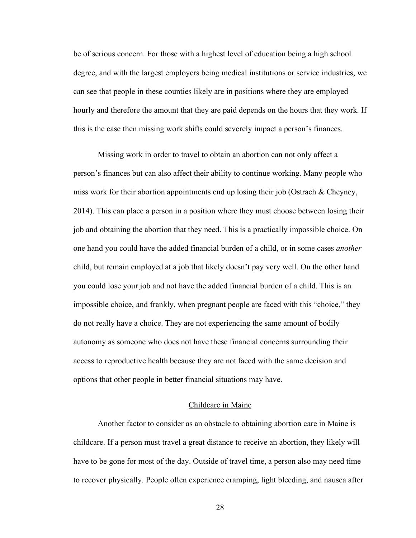be of serious concern. For those with a highest level of education being a high school degree, and with the largest employers being medical institutions or service industries, we can see that people in these counties likely are in positions where they are employed hourly and therefore the amount that they are paid depends on the hours that they work. If this is the case then missing work shifts could severely impact a person's finances.

Missing work in order to travel to obtain an abortion can not only affect a person's finances but can also affect their ability to continue working. Many people who miss work for their abortion appointments end up losing their job (Ostrach & Cheyney, 2014). This can place a person in a position where they must choose between losing their job and obtaining the abortion that they need. This is a practically impossible choice. On one hand you could have the added financial burden of a child, or in some cases *another* child, but remain employed at a job that likely doesn't pay very well. On the other hand you could lose your job and not have the added financial burden of a child. This is an impossible choice, and frankly, when pregnant people are faced with this "choice," they do not really have a choice. They are not experiencing the same amount of bodily autonomy as someone who does not have these financial concerns surrounding their access to reproductive health because they are not faced with the same decision and options that other people in better financial situations may have.

### Childcare in Maine

Another factor to consider as an obstacle to obtaining abortion care in Maine is childcare. If a person must travel a great distance to receive an abortion, they likely will have to be gone for most of the day. Outside of travel time, a person also may need time to recover physically. People often experience cramping, light bleeding, and nausea after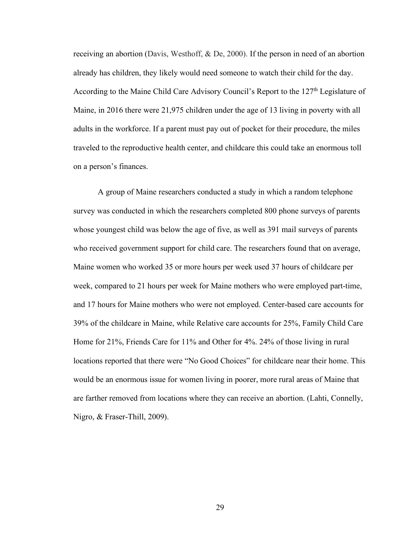receiving an abortion (Davis, Westhoff, & De, 2000). If the person in need of an abortion already has children, they likely would need someone to watch their child for the day. According to the Maine Child Care Advisory Council's Report to the  $127<sup>th</sup>$  Legislature of Maine, in 2016 there were 21,975 children under the age of 13 living in poverty with all adults in the workforce. If a parent must pay out of pocket for their procedure, the miles traveled to the reproductive health center, and childcare this could take an enormous toll on a person's finances.

A group of Maine researchers conducted a study in which a random telephone survey was conducted in which the researchers completed 800 phone surveys of parents whose youngest child was below the age of five, as well as 391 mail surveys of parents who received government support for child care. The researchers found that on average, Maine women who worked 35 or more hours per week used 37 hours of childcare per week, compared to 21 hours per week for Maine mothers who were employed part-time, and 17 hours for Maine mothers who were not employed. Center-based care accounts for 39% of the childcare in Maine, while Relative care accounts for 25%, Family Child Care Home for 21%, Friends Care for 11% and Other for 4%. 24% of those living in rural locations reported that there were "No Good Choices" for childcare near their home. This would be an enormous issue for women living in poorer, more rural areas of Maine that are farther removed from locations where they can receive an abortion. (Lahti, Connelly, Nigro, & Fraser-Thill, 2009).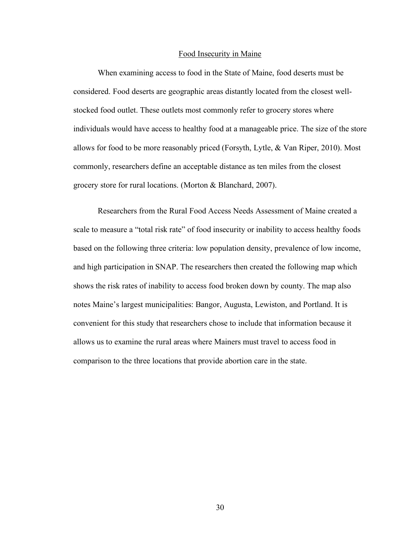#### Food Insecurity in Maine

When examining access to food in the State of Maine, food deserts must be considered. Food deserts are geographic areas distantly located from the closest wellstocked food outlet. These outlets most commonly refer to grocery stores where individuals would have access to healthy food at a manageable price. The size of the store allows for food to be more reasonably priced (Forsyth, Lytle, & Van Riper, 2010). Most commonly, researchers define an acceptable distance as ten miles from the closest grocery store for rural locations. (Morton & Blanchard, 2007).

Researchers from the Rural Food Access Needs Assessment of Maine created a scale to measure a "total risk rate" of food insecurity or inability to access healthy foods based on the following three criteria: low population density, prevalence of low income, and high participation in SNAP. The researchers then created the following map which shows the risk rates of inability to access food broken down by county. The map also notes Maine's largest municipalities: Bangor, Augusta, Lewiston, and Portland. It is convenient for this study that researchers chose to include that information because it allows us to examine the rural areas where Mainers must travel to access food in comparison to the three locations that provide abortion care in the state.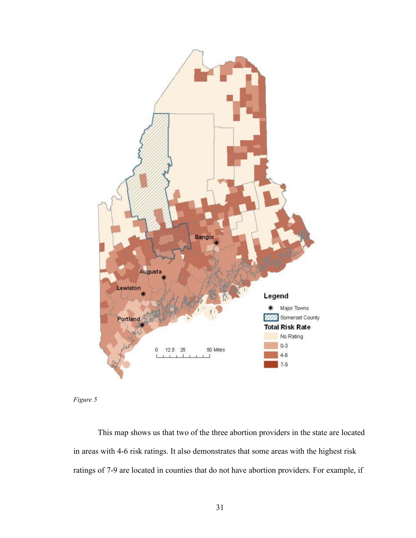



This map shows us that two of the three abortion providers in the state are located in areas with 4-6 risk ratings. It also demonstrates that some areas with the highest risk ratings of 7-9 are located in counties that do not have abortion providers. For example, if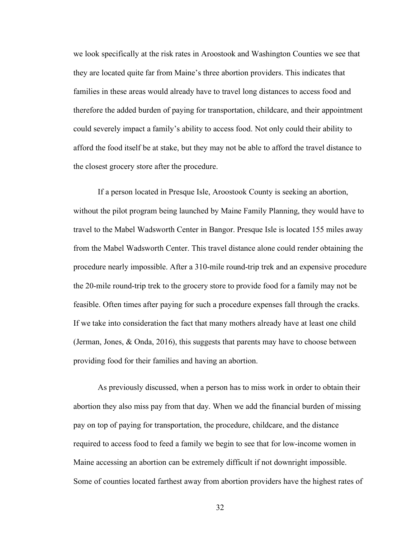we look specifically at the risk rates in Aroostook and Washington Counties we see that they are located quite far from Maine's three abortion providers. This indicates that families in these areas would already have to travel long distances to access food and therefore the added burden of paying for transportation, childcare, and their appointment could severely impact a family's ability to access food. Not only could their ability to afford the food itself be at stake, but they may not be able to afford the travel distance to the closest grocery store after the procedure.

If a person located in Presque Isle, Aroostook County is seeking an abortion, without the pilot program being launched by Maine Family Planning, they would have to travel to the Mabel Wadsworth Center in Bangor. Presque Isle is located 155 miles away from the Mabel Wadsworth Center. This travel distance alone could render obtaining the procedure nearly impossible. After a 310-mile round-trip trek and an expensive procedure the 20-mile round-trip trek to the grocery store to provide food for a family may not be feasible. Often times after paying for such a procedure expenses fall through the cracks. If we take into consideration the fact that many mothers already have at least one child (Jerman, Jones, & Onda, 2016), this suggests that parents may have to choose between providing food for their families and having an abortion.

As previously discussed, when a person has to miss work in order to obtain their abortion they also miss pay from that day. When we add the financial burden of missing pay on top of paying for transportation, the procedure, childcare, and the distance required to access food to feed a family we begin to see that for low-income women in Maine accessing an abortion can be extremely difficult if not downright impossible. Some of counties located farthest away from abortion providers have the highest rates of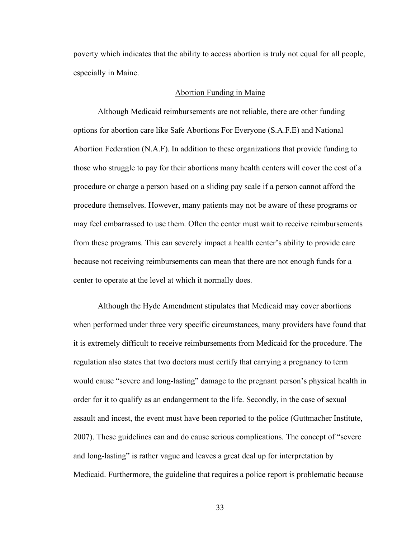poverty which indicates that the ability to access abortion is truly not equal for all people, especially in Maine.

#### Abortion Funding in Maine

Although Medicaid reimbursements are not reliable, there are other funding options for abortion care like Safe Abortions For Everyone (S.A.F.E) and National Abortion Federation (N.A.F). In addition to these organizations that provide funding to those who struggle to pay for their abortions many health centers will cover the cost of a procedure or charge a person based on a sliding pay scale if a person cannot afford the procedure themselves. However, many patients may not be aware of these programs or may feel embarrassed to use them. Often the center must wait to receive reimbursements from these programs. This can severely impact a health center's ability to provide care because not receiving reimbursements can mean that there are not enough funds for a center to operate at the level at which it normally does.

Although the Hyde Amendment stipulates that Medicaid may cover abortions when performed under three very specific circumstances, many providers have found that it is extremely difficult to receive reimbursements from Medicaid for the procedure. The regulation also states that two doctors must certify that carrying a pregnancy to term would cause "severe and long-lasting" damage to the pregnant person's physical health in order for it to qualify as an endangerment to the life. Secondly, in the case of sexual assault and incest, the event must have been reported to the police (Guttmacher Institute, 2007). These guidelines can and do cause serious complications. The concept of "severe and long-lasting" is rather vague and leaves a great deal up for interpretation by Medicaid. Furthermore, the guideline that requires a police report is problematic because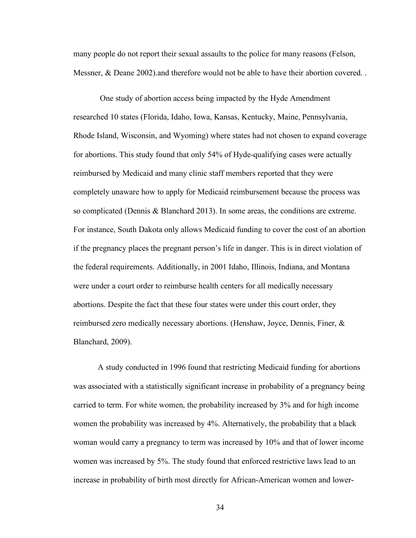many people do not report their sexual assaults to the police for many reasons (Felson, Messner, & Deane 2002) and therefore would not be able to have their abortion covered.

One study of abortion access being impacted by the Hyde Amendment researched 10 states (Florida, Idaho, Iowa, Kansas, Kentucky, Maine, Pennsylvania, Rhode Island, Wisconsin, and Wyoming) where states had not chosen to expand coverage for abortions. This study found that only 54% of Hyde-qualifying cases were actually reimbursed by Medicaid and many clinic staff members reported that they were completely unaware how to apply for Medicaid reimbursement because the process was so complicated (Dennis & Blanchard 2013). In some areas, the conditions are extreme. For instance, South Dakota only allows Medicaid funding to cover the cost of an abortion if the pregnancy places the pregnant person's life in danger. This is in direct violation of the federal requirements. Additionally, in 2001 Idaho, Illinois, Indiana, and Montana were under a court order to reimburse health centers for all medically necessary abortions. Despite the fact that these four states were under this court order, they reimbursed zero medically necessary abortions. (Henshaw, Joyce, Dennis, Finer, & Blanchard, 2009).

A study conducted in 1996 found that restricting Medicaid funding for abortions was associated with a statistically significant increase in probability of a pregnancy being carried to term. For white women, the probability increased by 3% and for high income women the probability was increased by 4%. Alternatively, the probability that a black woman would carry a pregnancy to term was increased by 10% and that of lower income women was increased by 5%. The study found that enforced restrictive laws lead to an increase in probability of birth most directly for African-American women and lower-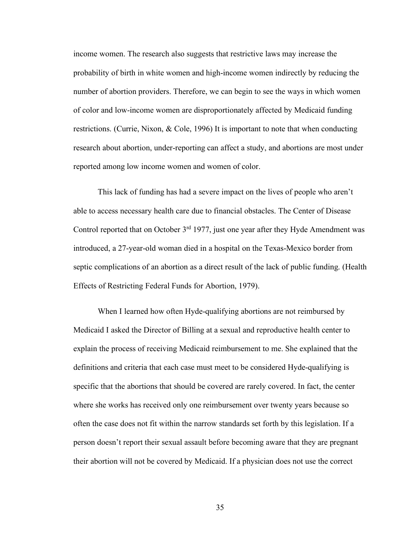income women. The research also suggests that restrictive laws may increase the probability of birth in white women and high-income women indirectly by reducing the number of abortion providers. Therefore, we can begin to see the ways in which women of color and low-income women are disproportionately affected by Medicaid funding restrictions. (Currie, Nixon, & Cole, 1996) It is important to note that when conducting research about abortion, under-reporting can affect a study, and abortions are most under reported among low income women and women of color.

This lack of funding has had a severe impact on the lives of people who aren't able to access necessary health care due to financial obstacles. The Center of Disease Control reported that on October 3<sup>rd</sup> 1977, just one year after they Hyde Amendment was introduced, a 27-year-old woman died in a hospital on the Texas-Mexico border from septic complications of an abortion as a direct result of the lack of public funding. (Health Effects of Restricting Federal Funds for Abortion, 1979).

When I learned how often Hyde-qualifying abortions are not reimbursed by Medicaid I asked the Director of Billing at a sexual and reproductive health center to explain the process of receiving Medicaid reimbursement to me. She explained that the definitions and criteria that each case must meet to be considered Hyde-qualifying is specific that the abortions that should be covered are rarely covered. In fact, the center where she works has received only one reimbursement over twenty years because so often the case does not fit within the narrow standards set forth by this legislation. If a person doesn't report their sexual assault before becoming aware that they are pregnant their abortion will not be covered by Medicaid. If a physician does not use the correct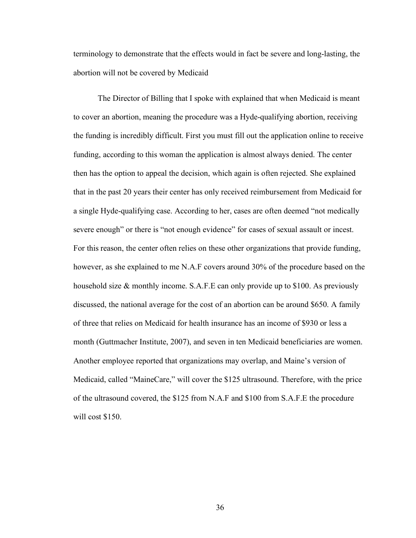terminology to demonstrate that the effects would in fact be severe and long-lasting, the abortion will not be covered by Medicaid

The Director of Billing that I spoke with explained that when Medicaid is meant to cover an abortion, meaning the procedure was a Hyde-qualifying abortion, receiving the funding is incredibly difficult. First you must fill out the application online to receive funding, according to this woman the application is almost always denied. The center then has the option to appeal the decision, which again is often rejected. She explained that in the past 20 years their center has only received reimbursement from Medicaid for a single Hyde-qualifying case. According to her, cases are often deemed "not medically severe enough" or there is "not enough evidence" for cases of sexual assault or incest. For this reason, the center often relies on these other organizations that provide funding, however, as she explained to me N.A.F covers around 30% of the procedure based on the household size & monthly income. S.A.F.E can only provide up to \$100. As previously discussed, the national average for the cost of an abortion can be around \$650. A family of three that relies on Medicaid for health insurance has an income of \$930 or less a month (Guttmacher Institute, 2007), and seven in ten Medicaid beneficiaries are women. Another employee reported that organizations may overlap, and Maine's version of Medicaid, called "MaineCare," will cover the \$125 ultrasound. Therefore, with the price of the ultrasound covered, the \$125 from N.A.F and \$100 from S.A.F.E the procedure will cost \$150.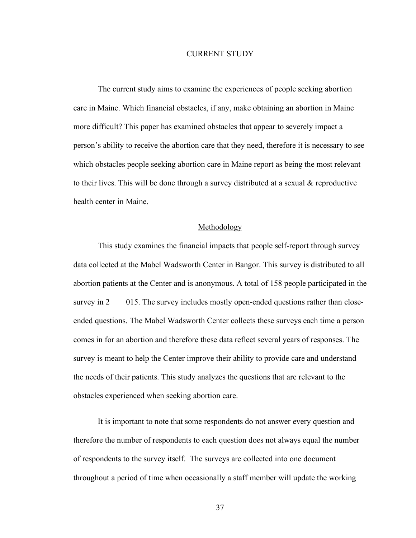#### CURRENT STUDY

The current study aims to examine the experiences of people seeking abortion care in Maine. Which financial obstacles, if any, make obtaining an abortion in Maine more difficult? This paper has examined obstacles that appear to severely impact a person's ability to receive the abortion care that they need, therefore it is necessary to see which obstacles people seeking abortion care in Maine report as being the most relevant to their lives. This will be done through a survey distributed at a sexual & reproductive health center in Maine.

#### Methodology

This study examines the financial impacts that people self-report through survey data collected at the Mabel Wadsworth Center in Bangor. This survey is distributed to all abortion patients at the Center and is anonymous. A total of 158 people participated in the survey in 2 015. The survey includes mostly open-ended questions rather than closeended questions. The Mabel Wadsworth Center collects these surveys each time a person comes in for an abortion and therefore these data reflect several years of responses. The survey is meant to help the Center improve their ability to provide care and understand the needs of their patients. This study analyzes the questions that are relevant to the obstacles experienced when seeking abortion care.

It is important to note that some respondents do not answer every question and therefore the number of respondents to each question does not always equal the number of respondents to the survey itself. The surveys are collected into one document throughout a period of time when occasionally a staff member will update the working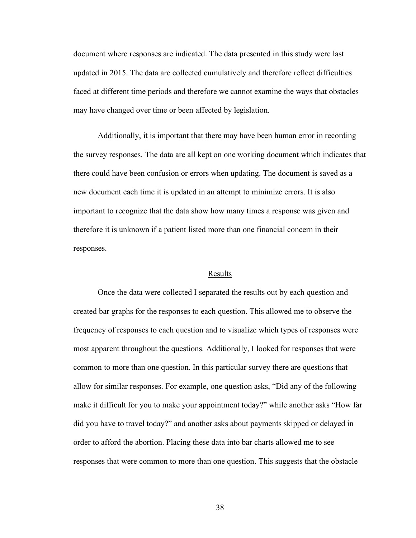document where responses are indicated. The data presented in this study were last updated in 2015. The data are collected cumulatively and therefore reflect difficulties faced at different time periods and therefore we cannot examine the ways that obstacles may have changed over time or been affected by legislation.

Additionally, it is important that there may have been human error in recording the survey responses. The data are all kept on one working document which indicates that there could have been confusion or errors when updating. The document is saved as a new document each time it is updated in an attempt to minimize errors. It is also important to recognize that the data show how many times a response was given and therefore it is unknown if a patient listed more than one financial concern in their responses.

#### Results

Once the data were collected I separated the results out by each question and created bar graphs for the responses to each question. This allowed me to observe the frequency of responses to each question and to visualize which types of responses were most apparent throughout the questions. Additionally, I looked for responses that were common to more than one question. In this particular survey there are questions that allow for similar responses. For example, one question asks, "Did any of the following make it difficult for you to make your appointment today?" while another asks "How far did you have to travel today?" and another asks about payments skipped or delayed in order to afford the abortion. Placing these data into bar charts allowed me to see responses that were common to more than one question. This suggests that the obstacle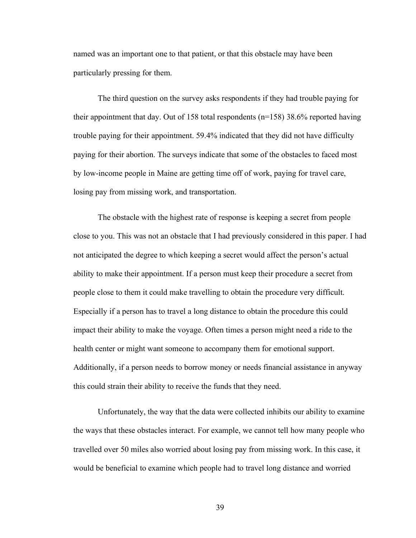named was an important one to that patient, or that this obstacle may have been particularly pressing for them.

The third question on the survey asks respondents if they had trouble paying for their appointment that day. Out of 158 total respondents (n=158) 38.6% reported having trouble paying for their appointment. 59.4% indicated that they did not have difficulty paying for their abortion. The surveys indicate that some of the obstacles to faced most by low-income people in Maine are getting time off of work, paying for travel care, losing pay from missing work, and transportation.

The obstacle with the highest rate of response is keeping a secret from people close to you. This was not an obstacle that I had previously considered in this paper. I had not anticipated the degree to which keeping a secret would affect the person's actual ability to make their appointment. If a person must keep their procedure a secret from people close to them it could make travelling to obtain the procedure very difficult. Especially if a person has to travel a long distance to obtain the procedure this could impact their ability to make the voyage. Often times a person might need a ride to the health center or might want someone to accompany them for emotional support. Additionally, if a person needs to borrow money or needs financial assistance in anyway this could strain their ability to receive the funds that they need.

Unfortunately, the way that the data were collected inhibits our ability to examine the ways that these obstacles interact. For example, we cannot tell how many people who travelled over 50 miles also worried about losing pay from missing work. In this case, it would be beneficial to examine which people had to travel long distance and worried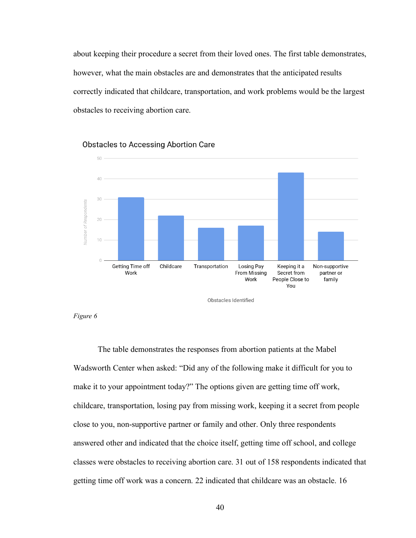about keeping their procedure a secret from their loved ones. The first table demonstrates, however, what the main obstacles are and demonstrates that the anticipated results correctly indicated that childcare, transportation, and work problems would be the largest obstacles to receiving abortion care.



Obstacles to Accessing Abortion Care



The table demonstrates the responses from abortion patients at the Mabel Wadsworth Center when asked: "Did any of the following make it difficult for you to make it to your appointment today?" The options given are getting time off work, childcare, transportation, losing pay from missing work, keeping it a secret from people close to you, non-supportive partner or family and other. Only three respondents answered other and indicated that the choice itself, getting time off school, and college classes were obstacles to receiving abortion care. 31 out of 158 respondents indicated that getting time off work was a concern. 22 indicated that childcare was an obstacle. 16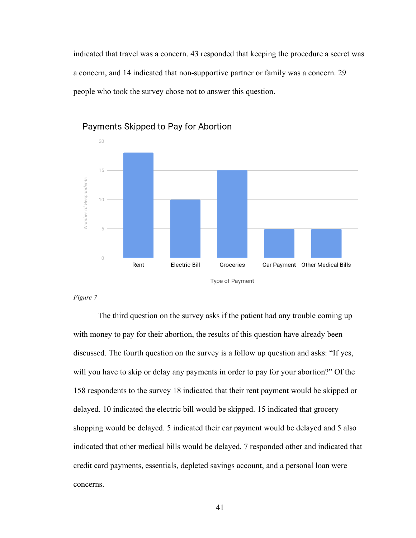indicated that travel was a concern. 43 responded that keeping the procedure a secret was a concern, and 14 indicated that non-supportive partner or family was a concern. 29 people who took the survey chose not to answer this question.



Payments Skipped to Pay for Abortion

#### *Figure 7*

The third question on the survey asks if the patient had any trouble coming up with money to pay for their abortion, the results of this question have already been discussed. The fourth question on the survey is a follow up question and asks: "If yes, will you have to skip or delay any payments in order to pay for your abortion?" Of the 158 respondents to the survey 18 indicated that their rent payment would be skipped or delayed. 10 indicated the electric bill would be skipped. 15 indicated that grocery shopping would be delayed. 5 indicated their car payment would be delayed and 5 also indicated that other medical bills would be delayed. 7 responded other and indicated that credit card payments, essentials, depleted savings account, and a personal loan were concerns.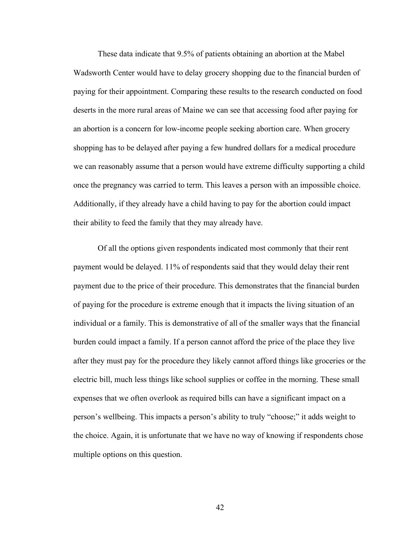These data indicate that 9.5% of patients obtaining an abortion at the Mabel Wadsworth Center would have to delay grocery shopping due to the financial burden of paying for their appointment. Comparing these results to the research conducted on food deserts in the more rural areas of Maine we can see that accessing food after paying for an abortion is a concern for low-income people seeking abortion care. When grocery shopping has to be delayed after paying a few hundred dollars for a medical procedure we can reasonably assume that a person would have extreme difficulty supporting a child once the pregnancy was carried to term. This leaves a person with an impossible choice. Additionally, if they already have a child having to pay for the abortion could impact their ability to feed the family that they may already have.

Of all the options given respondents indicated most commonly that their rent payment would be delayed. 11% of respondents said that they would delay their rent payment due to the price of their procedure. This demonstrates that the financial burden of paying for the procedure is extreme enough that it impacts the living situation of an individual or a family. This is demonstrative of all of the smaller ways that the financial burden could impact a family. If a person cannot afford the price of the place they live after they must pay for the procedure they likely cannot afford things like groceries or the electric bill, much less things like school supplies or coffee in the morning. These small expenses that we often overlook as required bills can have a significant impact on a person's wellbeing. This impacts a person's ability to truly "choose;" it adds weight to the choice. Again, it is unfortunate that we have no way of knowing if respondents chose multiple options on this question.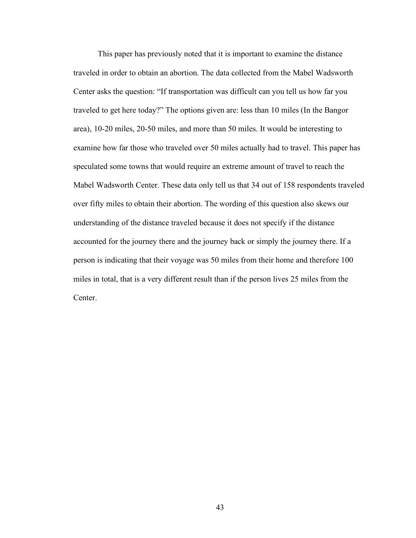This paper has previously noted that it is important to examine the distance traveled in order to obtain an abortion. The data collected from the Mabel Wadsworth Center asks the question: "If transportation was difficult can you tell us how far you traveled to get here today?" The options given are: less than 10 miles (In the Bangor area), 10-20 miles, 20-50 miles, and more than 50 miles. It would be interesting to examine how far those who traveled over 50 miles actually had to travel. This paper has speculated some towns that would require an extreme amount of travel to reach the Mabel Wadsworth Center. These data only tell us that 34 out of 158 respondents traveled over fifty miles to obtain their abortion. The wording of this question also skews our understanding of the distance traveled because it does not specify if the distance accounted for the journey there and the journey back or simply the journey there. If a person is indicating that their voyage was 50 miles from their home and therefore 100 miles in total, that is a very different result than if the person lives 25 miles from the Center.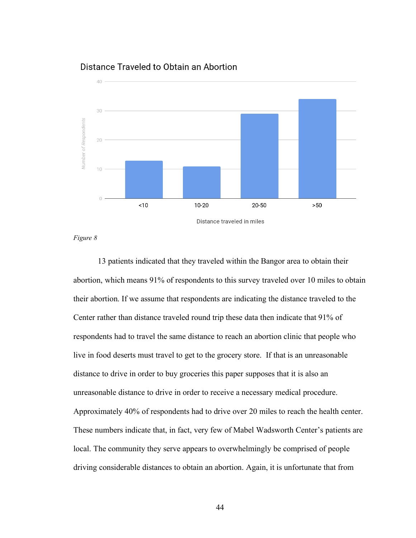## Distance Traveled to Obtain an Abortion



*Figure 8*

13 patients indicated that they traveled within the Bangor area to obtain their abortion, which means 91% of respondents to this survey traveled over 10 miles to obtain their abortion. If we assume that respondents are indicating the distance traveled to the Center rather than distance traveled round trip these data then indicate that 91% of respondents had to travel the same distance to reach an abortion clinic that people who live in food deserts must travel to get to the grocery store. If that is an unreasonable distance to drive in order to buy groceries this paper supposes that it is also an unreasonable distance to drive in order to receive a necessary medical procedure. Approximately 40% of respondents had to drive over 20 miles to reach the health center. These numbers indicate that, in fact, very few of Mabel Wadsworth Center's patients are local. The community they serve appears to overwhelmingly be comprised of people driving considerable distances to obtain an abortion. Again, it is unfortunate that from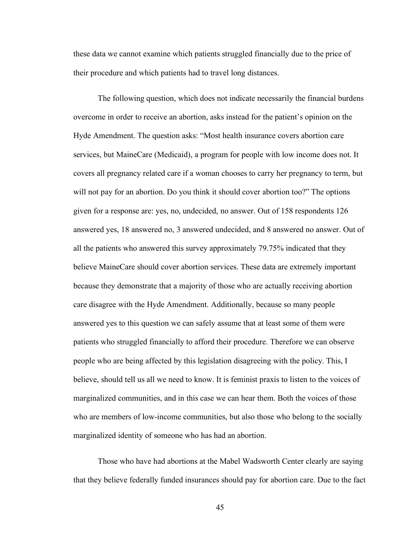these data we cannot examine which patients struggled financially due to the price of their procedure and which patients had to travel long distances.

The following question, which does not indicate necessarily the financial burdens overcome in order to receive an abortion, asks instead for the patient's opinion on the Hyde Amendment. The question asks: "Most health insurance covers abortion care services, but MaineCare (Medicaid), a program for people with low income does not. It covers all pregnancy related care if a woman chooses to carry her pregnancy to term, but will not pay for an abortion. Do you think it should cover abortion too?" The options given for a response are: yes, no, undecided, no answer. Out of 158 respondents 126 answered yes, 18 answered no, 3 answered undecided, and 8 answered no answer. Out of all the patients who answered this survey approximately 79.75% indicated that they believe MaineCare should cover abortion services. These data are extremely important because they demonstrate that a majority of those who are actually receiving abortion care disagree with the Hyde Amendment. Additionally, because so many people answered yes to this question we can safely assume that at least some of them were patients who struggled financially to afford their procedure. Therefore we can observe people who are being affected by this legislation disagreeing with the policy. This, I believe, should tell us all we need to know. It is feminist praxis to listen to the voices of marginalized communities, and in this case we can hear them. Both the voices of those who are members of low-income communities, but also those who belong to the socially marginalized identity of someone who has had an abortion.

Those who have had abortions at the Mabel Wadsworth Center clearly are saying that they believe federally funded insurances should pay for abortion care. Due to the fact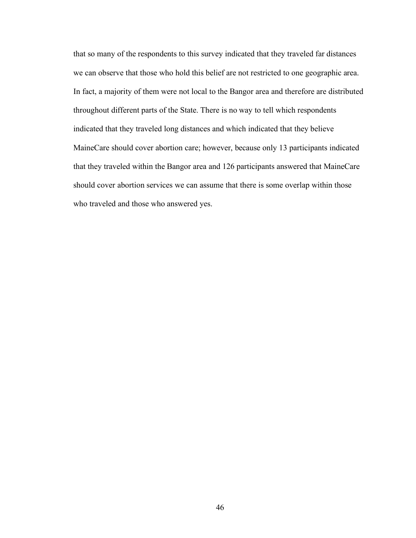that so many of the respondents to this survey indicated that they traveled far distances we can observe that those who hold this belief are not restricted to one geographic area. In fact, a majority of them were not local to the Bangor area and therefore are distributed throughout different parts of the State. There is no way to tell which respondents indicated that they traveled long distances and which indicated that they believe MaineCare should cover abortion care; however, because only 13 participants indicated that they traveled within the Bangor area and 126 participants answered that MaineCare should cover abortion services we can assume that there is some overlap within those who traveled and those who answered yes.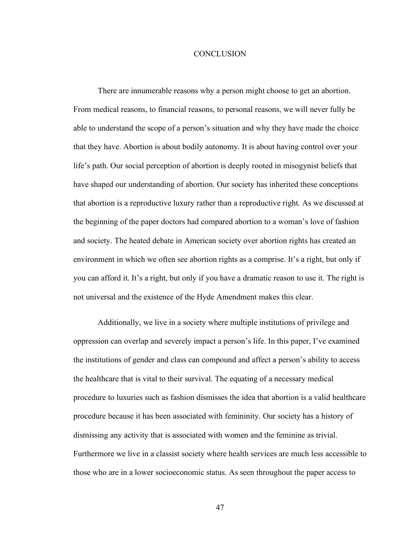#### **CONCLUSION**

There are innumerable reasons why a person might choose to get an abortion. From medical reasons, to financial reasons, to personal reasons, we will never fully be able to understand the scope of a person's situation and why they have made the choice that they have. Abortion is about bodily autonomy. It is about having control over your life's path. Our social perception of abortion is deeply rooted in misogynist beliefs that have shaped our understanding of abortion. Our society has inherited these conceptions that abortion is a reproductive luxury rather than a reproductive right. As we discussed at the beginning of the paper doctors had compared abortion to a woman's love of fashion and society. The heated debate in American society over abortion rights has created an environment in which we often see abortion rights as a comprise. It's a right, but only if you can afford it. It's a right, but only if you have a dramatic reason to use it. The right is not universal and the existence of the Hyde Amendment makes this clear.

Additionally, we live in a society where multiple institutions of privilege and oppression can overlap and severely impact a person's life. In this paper, I've examined the institutions of gender and class can compound and affect a person's ability to access the healthcare that is vital to their survival. The equating of a necessary medical procedure to luxuries such as fashion dismisses the idea that abortion is a valid healthcare procedure because it has been associated with femininity. Our society has a history of dismissing any activity that is associated with women and the feminine as trivial. Furthermore we live in a classist society where health services are much less accessible to those who are in a lower socioeconomic status. As seen throughout the paper access to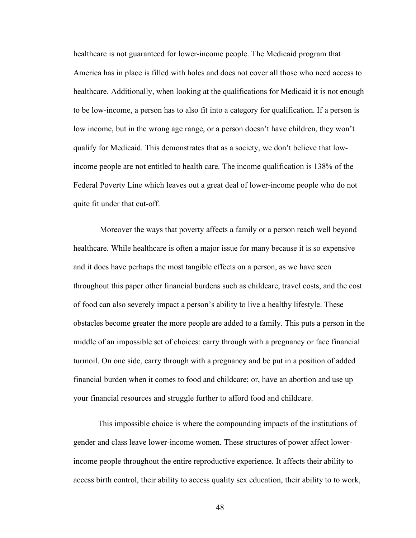healthcare is not guaranteed for lower-income people. The Medicaid program that America has in place is filled with holes and does not cover all those who need access to healthcare. Additionally, when looking at the qualifications for Medicaid it is not enough to be low-income, a person has to also fit into a category for qualification. If a person is low income, but in the wrong age range, or a person doesn't have children, they won't qualify for Medicaid. This demonstrates that as a society, we don't believe that lowincome people are not entitled to health care. The income qualification is 138% of the Federal Poverty Line which leaves out a great deal of lower-income people who do not quite fit under that cut-off.

Moreover the ways that poverty affects a family or a person reach well beyond healthcare. While healthcare is often a major issue for many because it is so expensive and it does have perhaps the most tangible effects on a person, as we have seen throughout this paper other financial burdens such as childcare, travel costs, and the cost of food can also severely impact a person's ability to live a healthy lifestyle. These obstacles become greater the more people are added to a family. This puts a person in the middle of an impossible set of choices: carry through with a pregnancy or face financial turmoil. On one side, carry through with a pregnancy and be put in a position of added financial burden when it comes to food and childcare; or, have an abortion and use up your financial resources and struggle further to afford food and childcare.

This impossible choice is where the compounding impacts of the institutions of gender and class leave lower-income women. These structures of power affect lowerincome people throughout the entire reproductive experience. It affects their ability to access birth control, their ability to access quality sex education, their ability to to work,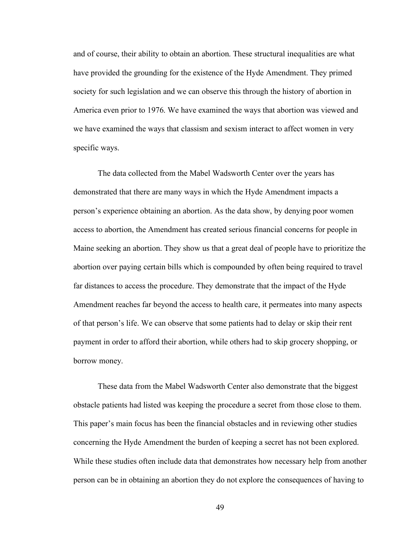and of course, their ability to obtain an abortion. These structural inequalities are what have provided the grounding for the existence of the Hyde Amendment. They primed society for such legislation and we can observe this through the history of abortion in America even prior to 1976. We have examined the ways that abortion was viewed and we have examined the ways that classism and sexism interact to affect women in very specific ways.

The data collected from the Mabel Wadsworth Center over the years has demonstrated that there are many ways in which the Hyde Amendment impacts a person's experience obtaining an abortion. As the data show, by denying poor women access to abortion, the Amendment has created serious financial concerns for people in Maine seeking an abortion. They show us that a great deal of people have to prioritize the abortion over paying certain bills which is compounded by often being required to travel far distances to access the procedure. They demonstrate that the impact of the Hyde Amendment reaches far beyond the access to health care, it permeates into many aspects of that person's life. We can observe that some patients had to delay or skip their rent payment in order to afford their abortion, while others had to skip grocery shopping, or borrow money.

These data from the Mabel Wadsworth Center also demonstrate that the biggest obstacle patients had listed was keeping the procedure a secret from those close to them. This paper's main focus has been the financial obstacles and in reviewing other studies concerning the Hyde Amendment the burden of keeping a secret has not been explored. While these studies often include data that demonstrates how necessary help from another person can be in obtaining an abortion they do not explore the consequences of having to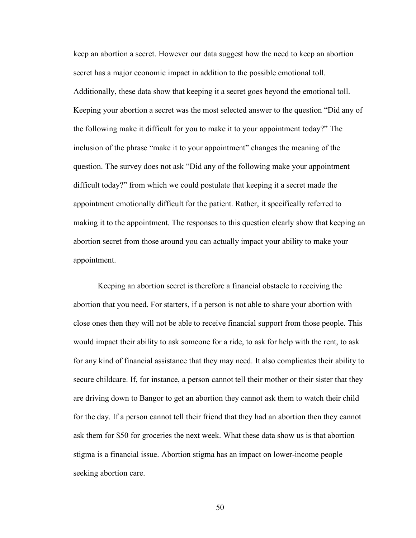keep an abortion a secret. However our data suggest how the need to keep an abortion secret has a major economic impact in addition to the possible emotional toll. Additionally, these data show that keeping it a secret goes beyond the emotional toll. Keeping your abortion a secret was the most selected answer to the question "Did any of the following make it difficult for you to make it to your appointment today?" The inclusion of the phrase "make it to your appointment" changes the meaning of the question. The survey does not ask "Did any of the following make your appointment difficult today?" from which we could postulate that keeping it a secret made the appointment emotionally difficult for the patient. Rather, it specifically referred to making it to the appointment. The responses to this question clearly show that keeping an abortion secret from those around you can actually impact your ability to make your appointment.

Keeping an abortion secret is therefore a financial obstacle to receiving the abortion that you need. For starters, if a person is not able to share your abortion with close ones then they will not be able to receive financial support from those people. This would impact their ability to ask someone for a ride, to ask for help with the rent, to ask for any kind of financial assistance that they may need. It also complicates their ability to secure childcare. If, for instance, a person cannot tell their mother or their sister that they are driving down to Bangor to get an abortion they cannot ask them to watch their child for the day. If a person cannot tell their friend that they had an abortion then they cannot ask them for \$50 for groceries the next week. What these data show us is that abortion stigma is a financial issue. Abortion stigma has an impact on lower-income people seeking abortion care.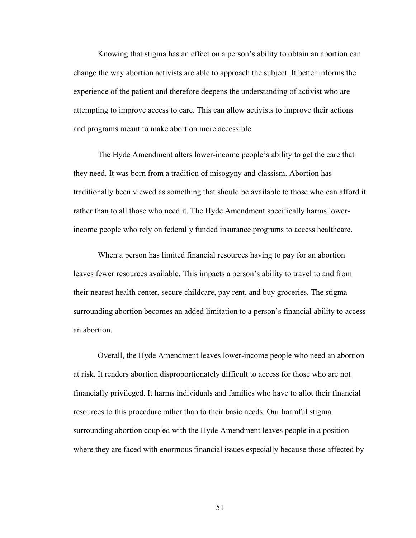Knowing that stigma has an effect on a person's ability to obtain an abortion can change the way abortion activists are able to approach the subject. It better informs the experience of the patient and therefore deepens the understanding of activist who are attempting to improve access to care. This can allow activists to improve their actions and programs meant to make abortion more accessible.

The Hyde Amendment alters lower-income people's ability to get the care that they need. It was born from a tradition of misogyny and classism. Abortion has traditionally been viewed as something that should be available to those who can afford it rather than to all those who need it. The Hyde Amendment specifically harms lowerincome people who rely on federally funded insurance programs to access healthcare.

When a person has limited financial resources having to pay for an abortion leaves fewer resources available. This impacts a person's ability to travel to and from their nearest health center, secure childcare, pay rent, and buy groceries. The stigma surrounding abortion becomes an added limitation to a person's financial ability to access an abortion.

Overall, the Hyde Amendment leaves lower-income people who need an abortion at risk. It renders abortion disproportionately difficult to access for those who are not financially privileged. It harms individuals and families who have to allot their financial resources to this procedure rather than to their basic needs. Our harmful stigma surrounding abortion coupled with the Hyde Amendment leaves people in a position where they are faced with enormous financial issues especially because those affected by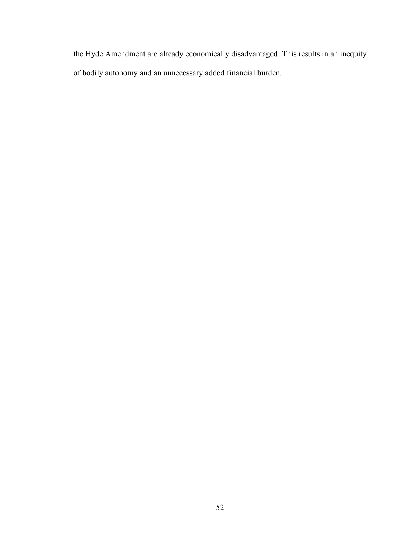the Hyde Amendment are already economically disadvantaged. This results in an inequity of bodily autonomy and an unnecessary added financial burden.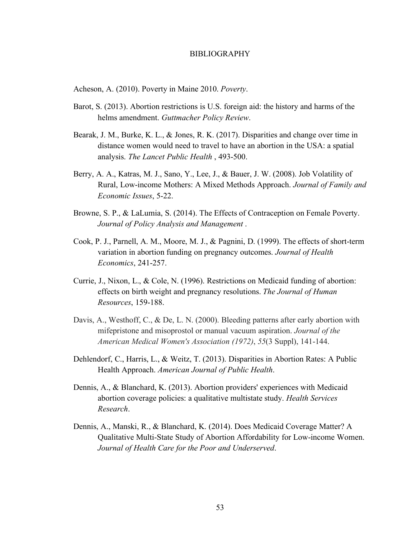#### BIBLIOGRAPHY

Acheson, A. (2010). Poverty in Maine 2010. *Poverty*.

- Barot, S. (2013). Abortion restrictions is U.S. foreign aid: the history and harms of the helms amendment. *Guttmacher Policy Review*.
- Bearak, J. M., Burke, K. L., & Jones, R. K. (2017). Disparities and change over time in distance women would need to travel to have an abortion in the USA: a spatial analysis. *The Lancet Public Health* , 493-500.
- Berry, A. A., Katras, M. J., Sano, Y., Lee, J., & Bauer, J. W. (2008). Job Volatility of Rural, Low-income Mothers: A Mixed Methods Approach. *Journal of Family and Economic Issues*, 5-22.
- Browne, S. P., & LaLumia, S. (2014). The Effects of Contraception on Female Poverty. *Journal of Policy Analysis and Management* .
- Cook, P. J., Parnell, A. M., Moore, M. J., & Pagnini, D. (1999). The effects of short-term variation in abortion funding on pregnancy outcomes. *Journal of Health Economics*, 241-257.
- Currie, J., Nixon, L., & Cole, N. (1996). Restrictions on Medicaid funding of abortion: effects on birth weight and pregnancy resolutions. *The Journal of Human Resources*, 159-188.
- Davis, A., Westhoff, C., & De, L. N. (2000). Bleeding patterns after early abortion with mifepristone and misoprostol or manual vacuum aspiration. *Journal of the American Medical Women's Association (1972)*, *55*(3 Suppl), 141-144.
- Dehlendorf, C., Harris, L., & Weitz, T. (2013). Disparities in Abortion Rates: A Public Health Approach. *American Journal of Public Health*.
- Dennis, A., & Blanchard, K. (2013). Abortion providers' experiences with Medicaid abortion coverage policies: a qualitative multistate study. *Health Services Research*.
- Dennis, A., Manski, R., & Blanchard, K. (2014). Does Medicaid Coverage Matter? A Qualitative Multi-State Study of Abortion Affordability for Low-income Women. *Journal of Health Care for the Poor and Underserved*.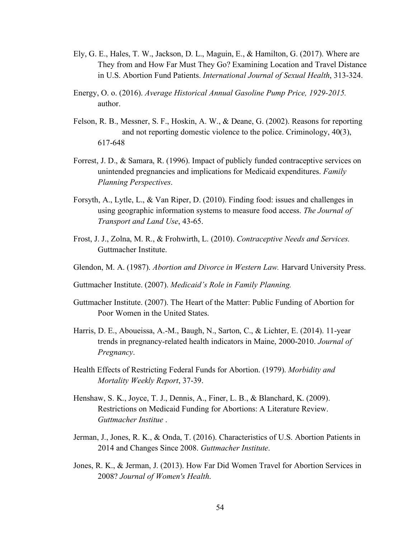- Ely, G. E., Hales, T. W., Jackson, D. L., Maguin, E., & Hamilton, G. (2017). Where are They from and How Far Must They Go? Examining Location and Travel Distance in U.S. Abortion Fund Patients. *International Journal of Sexual Health*, 313-324.
- Energy, O. o. (2016). *Average Historical Annual Gasoline Pump Price, 1929-2015.* author.
- Felson, R. B., Messner, S. F., Hoskin, A. W., & Deane, G. (2002). Reasons for reporting and not reporting domestic violence to the police. Criminology, 40(3), 617-648
- Forrest, J. D., & Samara, R. (1996). Impact of publicly funded contraceptive services on unintended pregnancies and implications for Medicaid expenditures. *Family Planning Perspectives*.
- Forsyth, A., Lytle, L., & Van Riper, D. (2010). Finding food: issues and challenges in using geographic information systems to measure food access. *The Journal of Transport and Land Use*, 43-65.
- Frost, J. J., Zolna, M. R., & Frohwirth, L. (2010). *Contraceptive Needs and Services.* Guttmacher Institute.
- Glendon, M. A. (1987). *Abortion and Divorce in Western Law.* Harvard University Press.
- Guttmacher Institute. (2007). *Medicaid's Role in Family Planning.*
- Guttmacher Institute. (2007). The Heart of the Matter: Public Funding of Abortion for Poor Women in the United States.
- Harris, D. E., Aboueissa, A.-M., Baugh, N., Sarton, C., & Lichter, E. (2014). 11-year trends in pregnancy-related health indicators in Maine, 2000-2010. *Journal of Pregnancy*.
- Health Effects of Restricting Federal Funds for Abortion. (1979). *Morbidity and Mortality Weekly Report*, 37-39.
- Henshaw, S. K., Joyce, T. J., Dennis, A., Finer, L. B., & Blanchard, K. (2009). Restrictions on Medicaid Funding for Abortions: A Literature Review. *Guttmacher Institue* .
- Jerman, J., Jones, R. K., & Onda, T. (2016). Characteristics of U.S. Abortion Patients in 2014 and Changes Since 2008. *Guttmacher Institute*.
- Jones, R. K., & Jerman, J. (2013). How Far Did Women Travel for Abortion Services in 2008? *Journal of Women's Health*.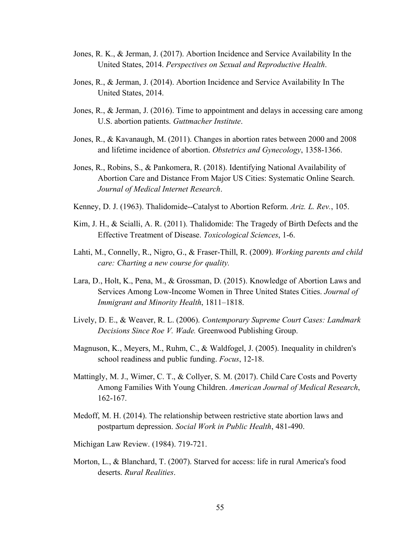- Jones, R. K., & Jerman, J. (2017). Abortion Incidence and Service Availability In the United States, 2014. *Perspectives on Sexual and Reproductive Health*.
- Jones, R., & Jerman, J. (2014). Abortion Incidence and Service Availability In The United States, 2014.
- Jones, R., & Jerman, J. (2016). Time to appointment and delays in accessing care among U.S. abortion patients. *Guttmacher Institute*.
- Jones, R., & Kavanaugh, M. (2011). Changes in abortion rates between 2000 and 2008 and lifetime incidence of abortion. *Obstetrics and Gynecology*, 1358-1366.
- Jones, R., Robins, S., & Pankomera, R. (2018). Identifying National Availability of Abortion Care and Distance From Major US Cities: Systematic Online Search. *Journal of Medical Internet Research*.
- Kenney, D. J. (1963). Thalidomide--Catalyst to Abortion Reform. *Ariz. L. Rev.*, 105.
- Kim, J. H., & Scialli, A. R. (2011). Thalidomide: The Tragedy of Birth Defects and the Effective Treatment of Disease. *Toxicological Sciences*, 1-6.
- Lahti, M., Connelly, R., Nigro, G., & Fraser-Thill, R. (2009). *Working parents and child care: Charting a new course for quality.*
- Lara, D., Holt, K., Pena, M., & Grossman, D. (2015). Knowledge of Abortion Laws and Services Among Low-Income Women in Three United States Cities. *Journal of Immigrant and Minority Health*, 1811–1818.
- Lively, D. E., & Weaver, R. L. (2006). *Contemporary Supreme Court Cases: Landmark Decisions Since Roe V. Wade.* Greenwood Publishing Group.
- Magnuson, K., Meyers, M., Ruhm, C., & Waldfogel, J. (2005). Inequality in children's school readiness and public funding. *Focus*, 12-18.
- Mattingly, M. J., Wimer, C. T., & Collyer, S. M. (2017). Child Care Costs and Poverty Among Families With Young Children. *American Journal of Medical Research*, 162-167.
- Medoff, M. H. (2014). The relationship between restrictive state abortion laws and postpartum depression. *Social Work in Public Health*, 481-490.
- Michigan Law Review. (1984). 719-721.
- Morton, L., & Blanchard, T. (2007). Starved for access: life in rural America's food deserts. *Rural Realities*.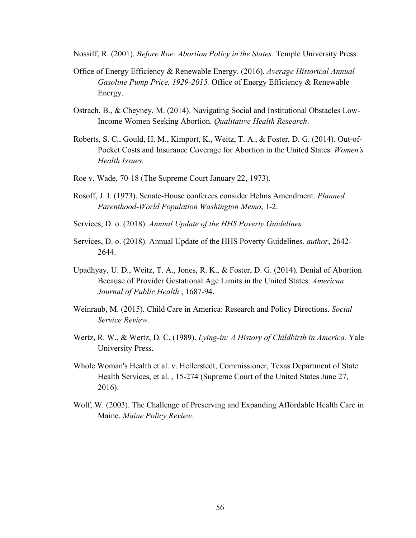Nossiff, R. (2001). *Before Roe: Abortion Policy in the States.* Temple University Press.

- Office of Energy Efficiency & Renewable Energy. (2016). *Average Historical Annual Gasoline Pump Price, 1929-2015.* Office of Energy Efficiency & Renewable Energy.
- Ostrach, B., & Cheyney, M. (2014). Navigating Social and Institutional Obstacles Low-Income Women Seeking Abortion. *Qualitative Health Research*.
- Roberts, S. C., Gould, H. M., Kimport, K., Weitz, T. A., & Foster, D. G. (2014). Out-of-Pocket Costs and Insurance Coverage for Abortion in the United States. *Women's Health Issues*.
- Roe v. Wade, 70-18 (The Supreme Court January 22, 1973).
- Rosoff, J. I. (1973). Senate-House conferees consider Helms Amendment. *Planned Parenthood-World Population Washington Memo*, 1-2.
- Services, D. o. (2018). *Annual Update of the HHS Poverty Guidelines.*
- Services, D. o. (2018). Annual Update of the HHS Poverty Guidelines. *author*, 2642- 2644.
- Upadhyay, U. D., Weitz, T. A., Jones, R. K., & Foster, D. G. (2014). Denial of Abortion Because of Provider Gestational Age Limits in the United States. *American Journal of Public Health* , 1687-94.
- Weinraub, M. (2015). Child Care in America: Research and Policy Directions. *Social Service Review*.
- Wertz, R. W., & Wertz, D. C. (1989). *Lying-in: A History of Childbirth in America.* Yale University Press.
- Whole Woman's Health et al. v. Hellerstedt, Commissioner, Texas Department of State Health Services, et al. , 15-274 (Supreme Court of the United States June 27, 2016).
- Wolf, W. (2003). The Challenge of Preserving and Expanding Affordable Health Care in Maine. *Maine Policy Review*.